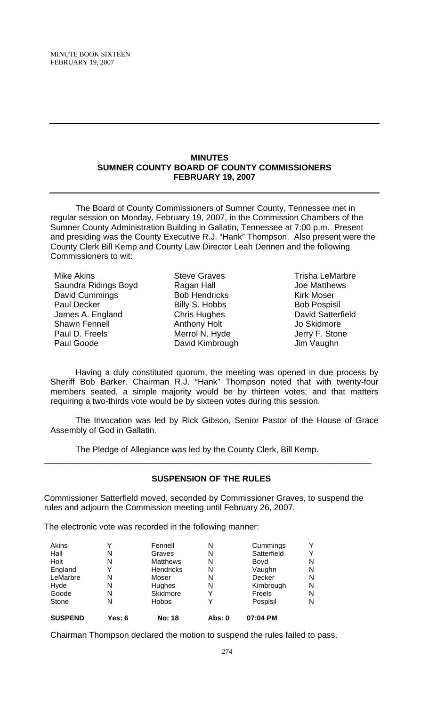### **MINUTES SUMNER COUNTY BOARD OF COUNTY COMMISSIONERS FEBRUARY 19, 2007**

The Board of County Commissioners of Sumner County, Tennessee met in regular session on Monday, February 19, 2007, in the Commission Chambers of the Sumner County Administration Building in Gallatin, Tennessee at 7:00 p.m. Present and presiding was the County Executive R.J. "Hank" Thompson. Also present were the County Clerk Bill Kemp and County Law Director Leah Dennen and the following Commissioners to wit:

Mike Akins Saundra Ridings Boyd David Cummings Paul Decker James A. England Shawn Fennell Paul D. Freels Paul Goode

Steve Graves Ragan Hall Bob Hendricks Billy S. Hobbs Chris Hughes Anthony Holt Merrol N. Hyde David Kimbrough

Trisha LeMarbre Joe Matthews Kirk Moser Bob Pospisil David Satterfield Jo Skidmore Jerry F. Stone Jim Vaughn

Having a duly constituted quorum, the meeting was opened in due process by Sheriff Bob Barker. Chairman R.J. "Hank" Thompson noted that with twenty-four members seated, a simple majority would be by thirteen votes; and that matters requiring a two-thirds vote would be by sixteen votes during this session.

The Invocation was led by Rick Gibson, Senior Pastor of the House of Grace Assembly of God in Gallatin.

The Pledge of Allegiance was led by the County Clerk, Bill Kemp.

## **SUSPENSION OF THE RULES**

\_\_\_\_\_\_\_\_\_\_\_\_\_\_\_\_\_\_\_\_\_\_\_\_\_\_\_\_\_\_\_\_\_\_\_\_\_\_\_\_\_\_\_\_\_\_\_\_\_\_\_\_\_\_\_\_\_\_\_\_\_\_\_\_\_\_\_\_\_\_

Commissioner Satterfield moved, seconded by Commissioner Graves, to suspend the rules and adjourn the Commission meeting until February 26, 2007.

The electronic vote was recorded in the following manner:

| <b>SUSPEND</b> | Yes: 6 | <b>No: 18</b>    | Abs: 0 | 07:04 PM    |   |
|----------------|--------|------------------|--------|-------------|---|
| Stone          | N      | <b>Hobbs</b>     |        | Pospisil    | N |
| Goode          | N      | Skidmore         |        | Freels      | N |
| Hyde           | N      | Hughes           | N      | Kimbrough   | N |
| LeMarbre       | N      | Moser            | N      | Decker      | N |
| England        |        | <b>Hendricks</b> | N      | Vaughn      | N |
| Holt           | N      | <b>Matthews</b>  | N      | Boyd        | N |
| Hall           | N      | Graves           | N      | Satterfield | Y |
| Akins          | v      | Fennell          | N      | Cummings    | Y |

Chairman Thompson declared the motion to suspend the rules failed to pass.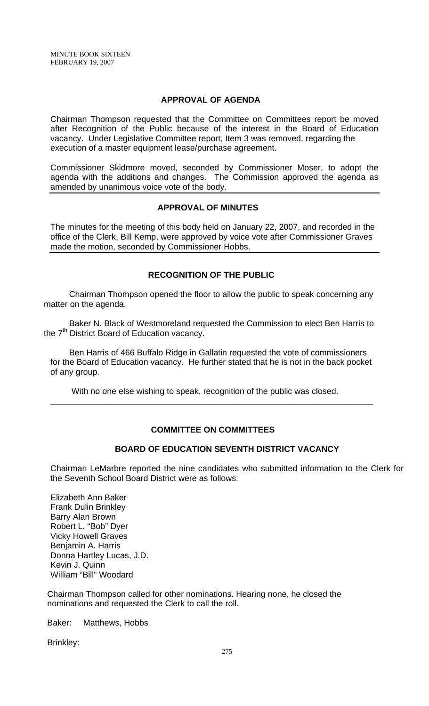## **APPROVAL OF AGENDA**

Chairman Thompson requested that the Committee on Committees report be moved after Recognition of the Public because of the interest in the Board of Education vacancy. Under Legislative Committee report, Item 3 was removed, regarding the execution of a master equipment lease/purchase agreement.

Commissioner Skidmore moved, seconded by Commissioner Moser, to adopt the agenda with the additions and changes. The Commission approved the agenda as amended by unanimous voice vote of the body.

### **APPROVAL OF MINUTES**

The minutes for the meeting of this body held on January 22, 2007, and recorded in the office of the Clerk, Bill Kemp, were approved by voice vote after Commissioner Graves made the motion, seconded by Commissioner Hobbs.

## **RECOGNITION OF THE PUBLIC**

Chairman Thompson opened the floor to allow the public to speak concerning any matter on the agenda.

Baker N. Black of Westmoreland requested the Commission to elect Ben Harris to the  $7<sup>th</sup>$  District Board of Education vacancy.

Ben Harris of 466 Buffalo Ridge in Gallatin requested the vote of commissioners for the Board of Education vacancy. He further stated that he is not in the back pocket of any group.

With no one else wishing to speak, recognition of the public was closed.

## **COMMITTEE ON COMMITTEES**

\_\_\_\_\_\_\_\_\_\_\_\_\_\_\_\_\_\_\_\_\_\_\_\_\_\_\_\_\_\_\_\_\_\_\_\_\_\_\_\_\_\_\_\_\_\_\_\_\_\_\_\_\_\_\_\_\_\_\_\_\_\_\_\_\_\_\_\_\_

### **BOARD OF EDUCATION SEVENTH DISTRICT VACANCY**

Chairman LeMarbre reported the nine candidates who submitted information to the Clerk for the Seventh School Board District were as follows:

Elizabeth Ann Baker Frank Dulin Brinkley Barry Alan Brown Robert L. "Bob" Dyer Vicky Howell Graves Benjamin A. Harris Donna Hartley Lucas, J.D. Kevin J. Quinn William "Bill" Woodard

Chairman Thompson called for other nominations. Hearing none, he closed the nominations and requested the Clerk to call the roll.

Baker: Matthews, Hobbs

Brinkley: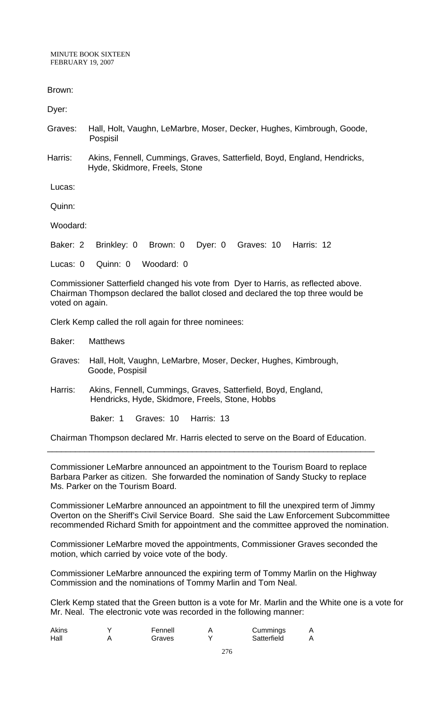Brown:

Dyer:

- Graves: Hall, Holt, Vaughn, LeMarbre, Moser, Decker, Hughes, Kimbrough, Goode, Pospisil
- Harris: Akins, Fennell, Cummings, Graves, Satterfield, Boyd, England, Hendricks, Hyde, Skidmore, Freels, Stone

Lucas:

Quinn:

Woodard:

Baker: 2 Brinkley: 0 Brown: 0 Dyer: 0 Graves: 10 Harris: 12

Lucas: 0 Quinn: 0 Woodard: 0

Commissioner Satterfield changed his vote from Dyer to Harris, as reflected above. Chairman Thompson declared the ballot closed and declared the top three would be voted on again.

Clerk Kemp called the roll again for three nominees:

Baker: Matthews

- Graves: Hall, Holt, Vaughn, LeMarbre, Moser, Decker, Hughes, Kimbrough, Goode, Pospisil
- Harris: Akins, Fennell, Cummings, Graves, Satterfield, Boyd, England, Hendricks, Hyde, Skidmore, Freels, Stone, Hobbs

Baker: 1 Graves: 10 Harris: 13

Chairman Thompson declared Mr. Harris elected to serve on the Board of Education. \_\_\_\_\_\_\_\_\_\_\_\_\_\_\_\_\_\_\_\_\_\_\_\_\_\_\_\_\_\_\_\_\_\_\_\_\_\_\_\_\_\_\_\_\_\_\_\_\_\_\_\_\_\_\_\_\_\_\_\_\_\_\_\_\_\_\_\_\_\_

Commissioner LeMarbre announced an appointment to the Tourism Board to replace Barbara Parker as citizen. She forwarded the nomination of Sandy Stucky to replace Ms. Parker on the Tourism Board.

Commissioner LeMarbre announced an appointment to fill the unexpired term of Jimmy Overton on the Sheriff's Civil Service Board. She said the Law Enforcement Subcommittee recommended Richard Smith for appointment and the committee approved the nomination.

Commissioner LeMarbre moved the appointments, Commissioner Graves seconded the motion, which carried by voice vote of the body.

Commissioner LeMarbre announced the expiring term of Tommy Marlin on the Highway Commission and the nominations of Tommy Marlin and Tom Neal.

Clerk Kemp stated that the Green button is a vote for Mr. Marlin and the White one is a vote for Mr. Neal. The electronic vote was recorded in the following manner:

| Akins | Fennell | Cummings    |  |
|-------|---------|-------------|--|
| Hall  | Graves  | Satterfield |  |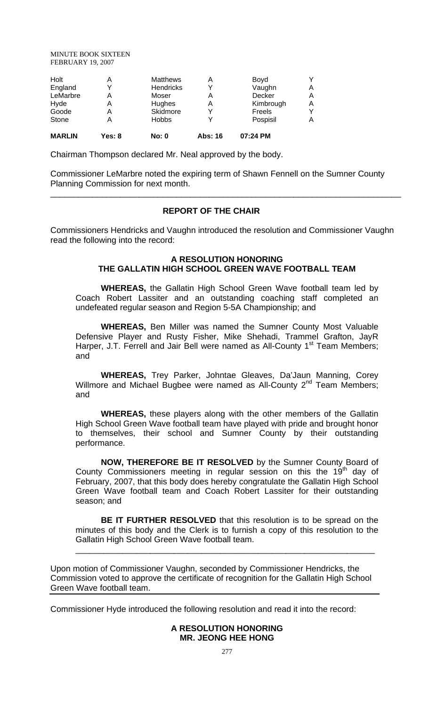| <b>MARLIN</b> |   |                 |   |           |   |
|---------------|---|-----------------|---|-----------|---|
| Stone         | Α | <b>Hobbs</b>    |   | Pospisil  | Α |
| Goode         | Α | Skidmore        |   | Freels    | Y |
| Hyde          | А | Hughes          | Α | Kimbrough | Α |
| LeMarbre      | А | Moser           | Α | Decker    | Α |
| England       |   | Hendricks       |   | Vaughn    | Α |
| Holt          | Α | <b>Matthews</b> | Α | Boyd      | Υ |

Chairman Thompson declared Mr. Neal approved by the body.

Commissioner LeMarbre noted the expiring term of Shawn Fennell on the Sumner County Planning Commission for next month.

\_\_\_\_\_\_\_\_\_\_\_\_\_\_\_\_\_\_\_\_\_\_\_\_\_\_\_\_\_\_\_\_\_\_\_\_\_\_\_\_\_\_\_\_\_\_\_\_\_\_\_\_\_\_\_\_\_\_\_\_\_\_\_\_\_\_\_\_\_\_\_\_\_\_\_

### **REPORT OF THE CHAIR**

Commissioners Hendricks and Vaughn introduced the resolution and Commissioner Vaughn read the following into the record:

### **A RESOLUTION HONORING THE GALLATIN HIGH SCHOOL GREEN WAVE FOOTBALL TEAM**

**WHEREAS,** the Gallatin High School Green Wave football team led by Coach Robert Lassiter and an outstanding coaching staff completed an undefeated regular season and Region 5-5A Championship; and

**WHEREAS,** Ben Miller was named the Sumner County Most Valuable Defensive Player and Rusty Fisher, Mike Shehadi, Trammel Grafton, JayR Harper, J.T. Ferrell and Jair Bell were named as All-County 1<sup>st</sup> Team Members; and

**WHEREAS,** Trey Parker, Johntae Gleaves, Da'Jaun Manning, Corey Willmore and Michael Bugbee were named as All-County 2<sup>nd</sup> Team Members; and

**WHEREAS,** these players along with the other members of the Gallatin High School Green Wave football team have played with pride and brought honor to themselves, their school and Sumner County by their outstanding performance.

**NOW, THEREFORE BE IT RESOLVED** by the Sumner County Board of County Commissioners meeting in regular session on this the  $19<sup>th</sup>$  day of February, 2007, that this body does hereby congratulate the Gallatin High School Green Wave football team and Coach Robert Lassiter for their outstanding season; and

**BE IT FURTHER RESOLVED** that this resolution is to be spread on the minutes of this body and the Clerk is to furnish a copy of this resolution to the Gallatin High School Green Wave football team.

\_\_\_\_\_\_\_\_\_\_\_\_\_\_\_\_\_\_\_\_\_\_\_\_\_\_\_\_\_\_\_\_\_\_\_\_\_\_\_\_\_\_\_\_\_\_\_\_\_\_\_\_\_\_\_\_\_\_\_\_\_\_\_\_

Upon motion of Commissioner Vaughn, seconded by Commissioner Hendricks, the Commission voted to approve the certificate of recognition for the Gallatin High School Green Wave football team.

Commissioner Hyde introduced the following resolution and read it into the record: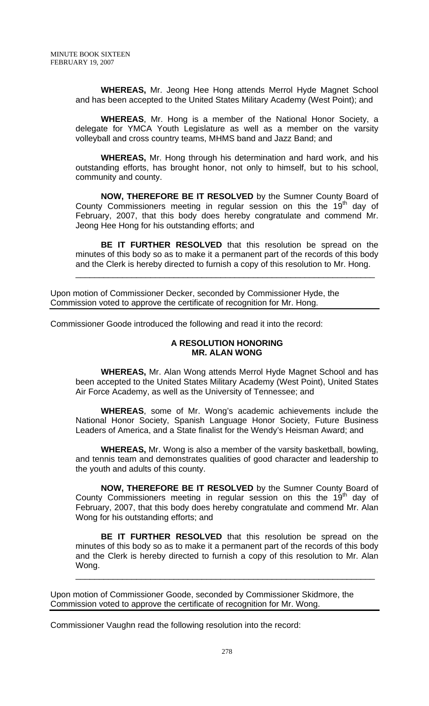**WHEREAS,** Mr. Jeong Hee Hong attends Merrol Hyde Magnet School and has been accepted to the United States Military Academy (West Point); and

**WHEREAS**, Mr. Hong is a member of the National Honor Society, a delegate for YMCA Youth Legislature as well as a member on the varsity volleyball and cross country teams, MHMS band and Jazz Band; and

**WHEREAS,** Mr. Hong through his determination and hard work, and his outstanding efforts, has brought honor, not only to himself, but to his school, community and county.

**NOW, THEREFORE BE IT RESOLVED** by the Sumner County Board of County Commissioners meeting in regular session on this the  $19<sup>th</sup>$  day of February, 2007, that this body does hereby congratulate and commend Mr. Jeong Hee Hong for his outstanding efforts; and

**BE IT FURTHER RESOLVED** that this resolution be spread on the minutes of this body so as to make it a permanent part of the records of this body and the Clerk is hereby directed to furnish a copy of this resolution to Mr. Hong.

\_\_\_\_\_\_\_\_\_\_\_\_\_\_\_\_\_\_\_\_\_\_\_\_\_\_\_\_\_\_\_\_\_\_\_\_\_\_\_\_\_\_\_\_\_\_\_\_\_\_\_\_\_\_\_\_\_\_\_\_\_\_\_\_

Upon motion of Commissioner Decker, seconded by Commissioner Hyde, the Commission voted to approve the certificate of recognition for Mr. Hong.

Commissioner Goode introduced the following and read it into the record:

### **A RESOLUTION HONORING MR. ALAN WONG**

**WHEREAS,** Mr. Alan Wong attends Merrol Hyde Magnet School and has been accepted to the United States Military Academy (West Point), United States Air Force Academy, as well as the University of Tennessee; and

**WHEREAS**, some of Mr. Wong's academic achievements include the National Honor Society, Spanish Language Honor Society, Future Business Leaders of America, and a State finalist for the Wendy's Heisman Award; and

**WHEREAS,** Mr. Wong is also a member of the varsity basketball, bowling, and tennis team and demonstrates qualities of good character and leadership to the youth and adults of this county.

**NOW, THEREFORE BE IT RESOLVED** by the Sumner County Board of County Commissioners meeting in regular session on this the  $19<sup>th</sup>$  day of February, 2007, that this body does hereby congratulate and commend Mr. Alan Wong for his outstanding efforts; and

**BE IT FURTHER RESOLVED** that this resolution be spread on the minutes of this body so as to make it a permanent part of the records of this body and the Clerk is hereby directed to furnish a copy of this resolution to Mr. Alan Wong.

\_\_\_\_\_\_\_\_\_\_\_\_\_\_\_\_\_\_\_\_\_\_\_\_\_\_\_\_\_\_\_\_\_\_\_\_\_\_\_\_\_\_\_\_\_\_\_\_\_\_\_\_\_\_\_\_\_\_\_\_\_\_\_\_

Upon motion of Commissioner Goode, seconded by Commissioner Skidmore, the Commission voted to approve the certificate of recognition for Mr. Wong.

Commissioner Vaughn read the following resolution into the record: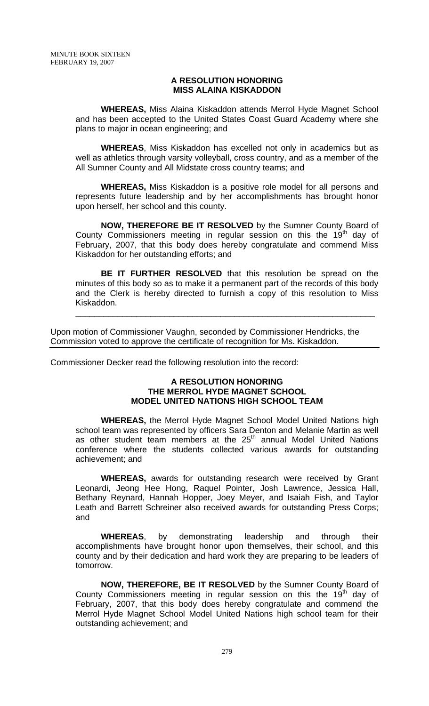### **A RESOLUTION HONORING MISS ALAINA KISKADDON**

**WHEREAS,** Miss Alaina Kiskaddon attends Merrol Hyde Magnet School and has been accepted to the United States Coast Guard Academy where she plans to major in ocean engineering; and

**WHEREAS**, Miss Kiskaddon has excelled not only in academics but as well as athletics through varsity volleyball, cross country, and as a member of the All Sumner County and All Midstate cross country teams; and

**WHEREAS,** Miss Kiskaddon is a positive role model for all persons and represents future leadership and by her accomplishments has brought honor upon herself, her school and this county.

**NOW, THEREFORE BE IT RESOLVED** by the Sumner County Board of County Commissioners meeting in regular session on this the  $19<sup>th</sup>$  day of February, 2007, that this body does hereby congratulate and commend Miss Kiskaddon for her outstanding efforts; and

**BE IT FURTHER RESOLVED** that this resolution be spread on the minutes of this body so as to make it a permanent part of the records of this body and the Clerk is hereby directed to furnish a copy of this resolution to Miss Kiskaddon.

\_\_\_\_\_\_\_\_\_\_\_\_\_\_\_\_\_\_\_\_\_\_\_\_\_\_\_\_\_\_\_\_\_\_\_\_\_\_\_\_\_\_\_\_\_\_\_\_\_\_\_\_\_\_\_\_\_\_\_\_\_\_\_\_

Upon motion of Commissioner Vaughn, seconded by Commissioner Hendricks, the Commission voted to approve the certificate of recognition for Ms. Kiskaddon.

Commissioner Decker read the following resolution into the record:

### **A RESOLUTION HONORING THE MERROL HYDE MAGNET SCHOOL MODEL UNITED NATIONS HIGH SCHOOL TEAM**

**WHEREAS,** the Merrol Hyde Magnet School Model United Nations high school team was represented by officers Sara Denton and Melanie Martin as well as other student team members at the  $25<sup>th</sup>$  annual Model United Nations conference where the students collected various awards for outstanding achievement; and

**WHEREAS,** awards for outstanding research were received by Grant Leonardi, Jeong Hee Hong, Raquel Pointer, Josh Lawrence, Jessica Hall, Bethany Reynard, Hannah Hopper, Joey Meyer, and Isaiah Fish, and Taylor Leath and Barrett Schreiner also received awards for outstanding Press Corps; and

**WHEREAS**, by demonstrating leadership and through their accomplishments have brought honor upon themselves, their school, and this county and by their dedication and hard work they are preparing to be leaders of tomorrow.

**NOW, THEREFORE, BE IT RESOLVED** by the Sumner County Board of County Commissioners meeting in regular session on this the  $19<sup>th</sup>$  day of February, 2007, that this body does hereby congratulate and commend the Merrol Hyde Magnet School Model United Nations high school team for their outstanding achievement; and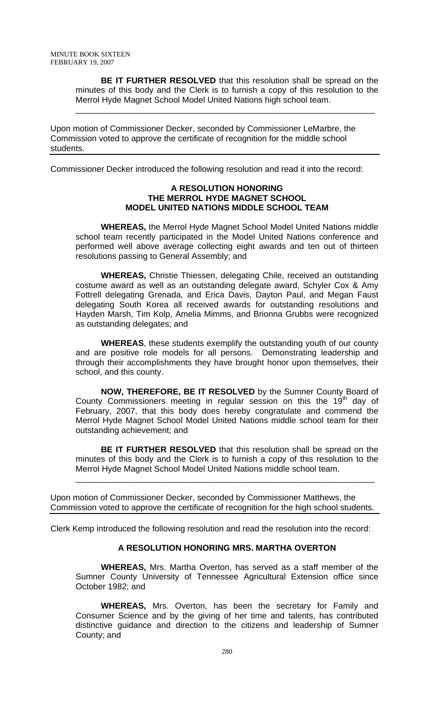**BE IT FURTHER RESOLVED** that this resolution shall be spread on the minutes of this body and the Clerk is to furnish a copy of this resolution to the Merrol Hyde Magnet School Model United Nations high school team.

\_\_\_\_\_\_\_\_\_\_\_\_\_\_\_\_\_\_\_\_\_\_\_\_\_\_\_\_\_\_\_\_\_\_\_\_\_\_\_\_\_\_\_\_\_\_\_\_\_\_\_\_\_\_\_\_\_\_\_\_\_\_\_\_

Upon motion of Commissioner Decker, seconded by Commissioner LeMarbre, the Commission voted to approve the certificate of recognition for the middle school students.

Commissioner Decker introduced the following resolution and read it into the record:

### **A RESOLUTION HONORING THE MERROL HYDE MAGNET SCHOOL MODEL UNITED NATIONS MIDDLE SCHOOL TEAM**

**WHEREAS,** the Merrol Hyde Magnet School Model United Nations middle school team recently participated in the Model United Nations conference and performed well above average collecting eight awards and ten out of thirteen resolutions passing to General Assembly; and

**WHEREAS,** Christie Thiessen, delegating Chile, received an outstanding costume award as well as an outstanding delegate award, Schyler Cox & Amy Fottrell delegating Grenada, and Erica Davis, Dayton Paul, and Megan Faust delegating South Korea all received awards for outstanding resolutions and Hayden Marsh, Tim Kolp, Amelia Mimms, and Brionna Grubbs were recognized as outstanding delegates; and

**WHEREAS**, these students exemplify the outstanding youth of our county and are positive role models for all persons. Demonstrating leadership and through their accomplishments they have brought honor upon themselves, their school, and this county.

**NOW, THEREFORE, BE IT RESOLVED** by the Sumner County Board of County Commissioners meeting in regular session on this the  $19<sup>th</sup>$  day of February, 2007, that this body does hereby congratulate and commend the Merrol Hyde Magnet School Model United Nations middle school team for their outstanding achievement; and

**BE IT FURTHER RESOLVED** that this resolution shall be spread on the minutes of this body and the Clerk is to furnish a copy of this resolution to the Merrol Hyde Magnet School Model United Nations middle school team.

\_\_\_\_\_\_\_\_\_\_\_\_\_\_\_\_\_\_\_\_\_\_\_\_\_\_\_\_\_\_\_\_\_\_\_\_\_\_\_\_\_\_\_\_\_\_\_\_\_\_\_\_\_\_\_\_\_\_\_\_\_\_\_\_

Upon motion of Commissioner Decker, seconded by Commissioner Matthews, the Commission voted to approve the certificate of recognition for the high school students.

Clerk Kemp introduced the following resolution and read the resolution into the record:

### **A RESOLUTION HONORING MRS. MARTHA OVERTON**

**WHEREAS,** Mrs. Martha Overton, has served as a staff member of the Sumner County University of Tennessee Agricultural Extension office since October 1982; and

**WHEREAS,** Mrs. Overton, has been the secretary for Family and Consumer Science and by the giving of her time and talents, has contributed distinctive guidance and direction to the citizens and leadership of Sumner County; and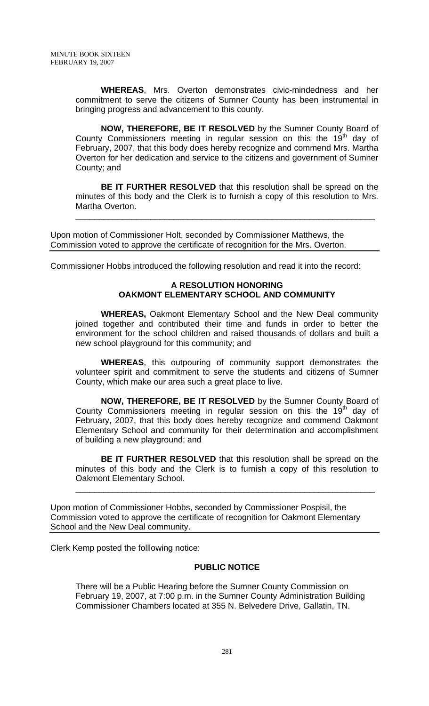**WHEREAS**, Mrs. Overton demonstrates civic-mindedness and her commitment to serve the citizens of Sumner County has been instrumental in bringing progress and advancement to this county.

**NOW, THEREFORE, BE IT RESOLVED** by the Sumner County Board of County Commissioners meeting in regular session on this the  $19<sup>th</sup>$  day of February, 2007, that this body does hereby recognize and commend Mrs. Martha Overton for her dedication and service to the citizens and government of Sumner County; and

**BE IT FURTHER RESOLVED** that this resolution shall be spread on the minutes of this body and the Clerk is to furnish a copy of this resolution to Mrs. Martha Overton.

\_\_\_\_\_\_\_\_\_\_\_\_\_\_\_\_\_\_\_\_\_\_\_\_\_\_\_\_\_\_\_\_\_\_\_\_\_\_\_\_\_\_\_\_\_\_\_\_\_\_\_\_\_\_\_\_\_\_\_\_\_\_\_\_

Upon motion of Commissioner Holt, seconded by Commissioner Matthews, the Commission voted to approve the certificate of recognition for the Mrs. Overton.

Commissioner Hobbs introduced the following resolution and read it into the record:

## **A RESOLUTION HONORING OAKMONT ELEMENTARY SCHOOL AND COMMUNITY**

**WHEREAS,** Oakmont Elementary School and the New Deal community joined together and contributed their time and funds in order to better the environment for the school children and raised thousands of dollars and built a new school playground for this community; and

**WHEREAS**, this outpouring of community support demonstrates the volunteer spirit and commitment to serve the students and citizens of Sumner County, which make our area such a great place to live.

**NOW, THEREFORE, BE IT RESOLVED** by the Sumner County Board of County Commissioners meeting in regular session on this the  $19<sup>th</sup>$  day of February, 2007, that this body does hereby recognize and commend Oakmont Elementary School and community for their determination and accomplishment of building a new playground; and

**BE IT FURTHER RESOLVED** that this resolution shall be spread on the minutes of this body and the Clerk is to furnish a copy of this resolution to Oakmont Elementary School.

\_\_\_\_\_\_\_\_\_\_\_\_\_\_\_\_\_\_\_\_\_\_\_\_\_\_\_\_\_\_\_\_\_\_\_\_\_\_\_\_\_\_\_\_\_\_\_\_\_\_\_\_\_\_\_\_\_\_\_\_\_\_\_\_

Upon motion of Commissioner Hobbs, seconded by Commissioner Pospisil, the Commission voted to approve the certificate of recognition for Oakmont Elementary School and the New Deal community.

Clerk Kemp posted the folllowing notice:

### **PUBLIC NOTICE**

There will be a Public Hearing before the Sumner County Commission on February 19, 2007, at 7:00 p.m. in the Sumner County Administration Building Commissioner Chambers located at 355 N. Belvedere Drive, Gallatin, TN.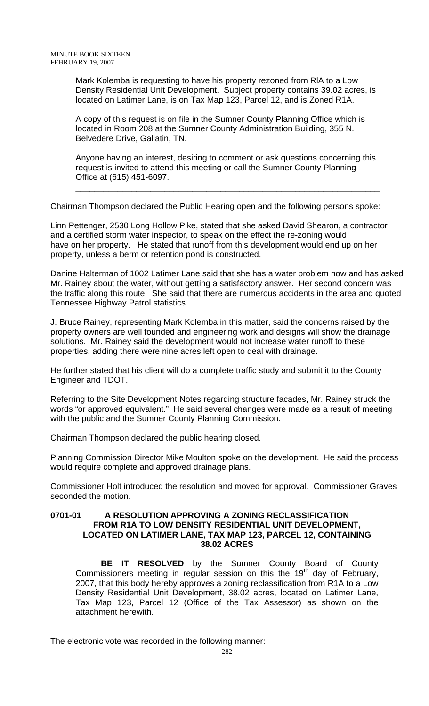Mark Kolemba is requesting to have his property rezoned from RlA to a Low Density Residential Unit Development. Subject property contains 39.02 acres, is located on Latimer Lane, is on Tax Map 123, Parcel 12, and is Zoned R1A.

A copy of this request is on file in the Sumner County Planning Office which is located in Room 208 at the Sumner County Administration Building, 355 N. Belvedere Drive, Gallatin, TN.

Anyone having an interest, desiring to comment or ask questions concerning this request is invited to attend this meeting or call the Sumner County Planning Office at (615) 451-6097.

\_\_\_\_\_\_\_\_\_\_\_\_\_\_\_\_\_\_\_\_\_\_\_\_\_\_\_\_\_\_\_\_\_\_\_\_\_\_\_\_\_\_\_\_\_\_\_\_\_\_\_\_\_\_\_\_\_\_\_\_\_\_\_\_\_

Chairman Thompson declared the Public Hearing open and the following persons spoke:

Linn Pettenger, 2530 Long Hollow Pike, stated that she asked David Shearon, a contractor and a certified storm water inspector, to speak on the effect the re-zoning would have on her property. He stated that runoff from this development would end up on her property, unless a berm or retention pond is constructed.

Danine Halterman of 1002 Latimer Lane said that she has a water problem now and has asked Mr. Rainey about the water, without getting a satisfactory answer. Her second concern was the traffic along this route. She said that there are numerous accidents in the area and quoted Tennessee Highway Patrol statistics.

J. Bruce Rainey, representing Mark Kolemba in this matter, said the concerns raised by the property owners are well founded and engineering work and designs will show the drainage solutions. Mr. Rainey said the development would not increase water runoff to these properties, adding there were nine acres left open to deal with drainage.

He further stated that his client will do a complete traffic study and submit it to the County Engineer and TDOT.

Referring to the Site Development Notes regarding structure facades, Mr. Rainey struck the words "or approved equivalent." He said several changes were made as a result of meeting with the public and the Sumner County Planning Commission.

Chairman Thompson declared the public hearing closed.

Planning Commission Director Mike Moulton spoke on the development. He said the process would require complete and approved drainage plans.

Commissioner Holt introduced the resolution and moved for approval. Commissioner Graves seconded the motion.

### **0701-01 A RESOLUTION APPROVING A ZONING RECLASSIFICATION FROM R1A TO LOW DENSITY RESIDENTIAL UNIT DEVELOPMENT, LOCATED ON LATIMER LANE, TAX MAP 123, PARCEL 12, CONTAINING 38.02 ACRES**

**BE IT RESOLVED** by the Sumner County Board of County Commissioners meeting in regular session on this the  $19<sup>th</sup>$  day of February, 2007, that this body hereby approves a zoning reclassification from R1A to a Low Density Residential Unit Development, 38.02 acres, located on Latimer Lane, Tax Map 123, Parcel 12 (Office of the Tax Assessor) as shown on the attachment herewith.

\_\_\_\_\_\_\_\_\_\_\_\_\_\_\_\_\_\_\_\_\_\_\_\_\_\_\_\_\_\_\_\_\_\_\_\_\_\_\_\_\_\_\_\_\_\_\_\_\_\_\_\_\_\_\_\_\_\_\_\_\_\_\_\_

The electronic vote was recorded in the following manner: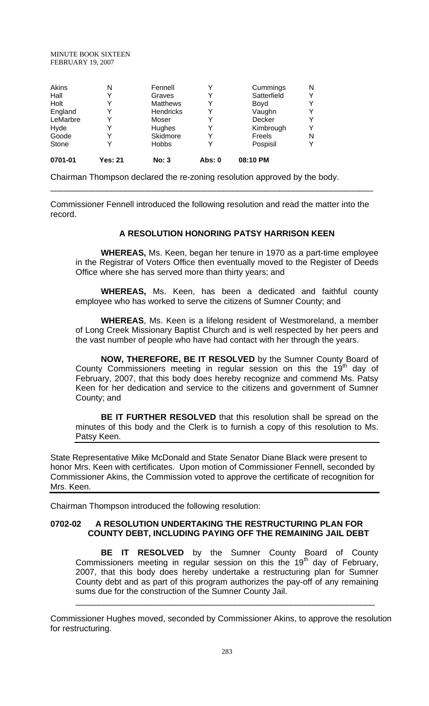| Akins    | N              | Fennell         |          | Cummings    | N |
|----------|----------------|-----------------|----------|-------------|---|
| Hall     |                | Graves          |          | Satterfield | Y |
| Holt     |                | <b>Matthews</b> | Y        | Boyd        | Y |
| England  |                | Hendricks       |          | Vaughn      | Y |
| LeMarbre | v              | Moser           | Y        | Decker      | Y |
| Hyde     |                | Hughes          |          | Kimbrough   | Y |
| Goode    |                | Skidmore        | Y        | Freels      | N |
| Stone    | ∨              | <b>Hobbs</b>    |          | Pospisil    | Y |
| 0701-01  | <b>Yes: 21</b> | <b>No: 3</b>    | Abs: $0$ | 08:10 PM    |   |

Chairman Thompson declared the re-zoning resolution approved by the body.

Commissioner Fennell introduced the following resolution and read the matter into the record.

\_\_\_\_\_\_\_\_\_\_\_\_\_\_\_\_\_\_\_\_\_\_\_\_\_\_\_\_\_\_\_\_\_\_\_\_\_\_\_\_\_\_\_\_\_\_\_\_\_\_\_\_\_\_\_\_\_\_\_\_\_\_\_\_\_\_\_\_\_

### **A RESOLUTION HONORING PATSY HARRISON KEEN**

**WHEREAS,** Ms. Keen, began her tenure in 1970 as a part-time employee in the Registrar of Voters Office then eventually moved to the Register of Deeds Office where she has served more than thirty years; and

**WHEREAS,** Ms. Keen, has been a dedicated and faithful county employee who has worked to serve the citizens of Sumner County; and

**WHEREAS**, Ms. Keen is a lifelong resident of Westmoreland, a member of Long Creek Missionary Baptist Church and is well respected by her peers and the vast number of people who have had contact with her through the years.

**NOW, THEREFORE, BE IT RESOLVED** by the Sumner County Board of County Commissioners meeting in regular session on this the  $19<sup>th</sup>$  day of February, 2007, that this body does hereby recognize and commend Ms. Patsy Keen for her dedication and service to the citizens and government of Sumner County; and

**BE IT FURTHER RESOLVED** that this resolution shall be spread on the minutes of this body and the Clerk is to furnish a copy of this resolution to Ms. Patsy Keen.

State Representative Mike McDonald and State Senator Diane Black were present to honor Mrs. Keen with certificates. Upon motion of Commissioner Fennell, seconded by Commissioner Akins, the Commission voted to approve the certificate of recognition for Mrs. Keen.

Chairman Thompson introduced the following resolution:

### **0702-02 A RESOLUTION UNDERTAKING THE RESTRUCTURING PLAN FOR COUNTY DEBT, INCLUDING PAYING OFF THE REMAINING JAIL DEBT**

**BE IT RESOLVED** by the Sumner County Board of County Commissioners meeting in regular session on this the  $19<sup>th</sup>$  day of February, 2007, that this body does hereby undertake a restructuring plan for Sumner County debt and as part of this program authorizes the pay-off of any remaining sums due for the construction of the Sumner County Jail.

\_\_\_\_\_\_\_\_\_\_\_\_\_\_\_\_\_\_\_\_\_\_\_\_\_\_\_\_\_\_\_\_\_\_\_\_\_\_\_\_\_\_\_\_\_\_\_\_\_\_\_\_\_\_\_\_\_\_\_\_\_\_\_\_

Commissioner Hughes moved, seconded by Commissioner Akins, to approve the resolution for restructuring.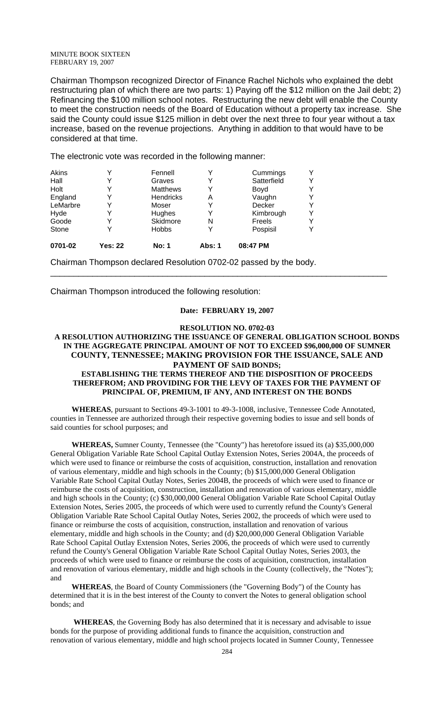Chairman Thompson recognized Director of Finance Rachel Nichols who explained the debt restructuring plan of which there are two parts: 1) Paying off the \$12 million on the Jail debt; 2) Refinancing the \$100 million school notes. Restructuring the new debt will enable the County to meet the construction needs of the Board of Education without a property tax increase. She said the County could issue \$125 million in debt over the next three to four year without a tax increase, based on the revenue projections. Anything in addition to that would have to be considered at that time.

The electronic vote was recorded in the following manner:

| 0701-02  | Yes: 22 | <b>No: 1</b>     | Abs: 1 | 08:47 PM    |   |
|----------|---------|------------------|--------|-------------|---|
| Stone    |         | <b>Hobbs</b>     |        | Pospisil    | Y |
| Goode    |         | Skidmore         | N      | Freels      | Y |
| Hyde     |         | Hughes           |        | Kimbrough   | Y |
| LeMarbre |         | Moser            |        | Decker      | Y |
| England  | Y       | <b>Hendricks</b> | Α      | Vaughn      | Y |
| Holt     |         | <b>Matthews</b>  |        | Boyd        | Y |
| Hall     |         | Graves           |        | Satterfield | Y |
| Akins    |         | Fennell          |        | Cummings    | Y |

Chairman Thompson declared Resolution 0702-02 passed by the body.

Chairman Thompson introduced the following resolution:

### **Date: FEBRUARY 19, 2007**

\_\_\_\_\_\_\_\_\_\_\_\_\_\_\_\_\_\_\_\_\_\_\_\_\_\_\_\_\_\_\_\_\_\_\_\_\_\_\_\_\_\_\_\_\_\_\_\_\_\_\_\_\_\_\_\_\_\_\_\_\_\_\_\_\_\_\_\_\_\_\_\_

#### **RESOLUTION NO. 0702-03**

### **A RESOLUTION AUTHORIZING THE ISSUANCE OF GENERAL OBLIGATION SCHOOL BONDS IN THE AGGREGATE PRINCIPAL AMOUNT OF NOT TO EXCEED \$96,000,000 OF SUMNER COUNTY, TENNESSEE; MAKING PROVISION FOR THE ISSUANCE, SALE AND PAYMENT OF SAID BONDS; ESTABLISHING THE TERMS THEREOF AND THE DISPOSITION OF PROCEEDS**

# **THEREFROM; AND PROVIDING FOR THE LEVY OF TAXES FOR THE PAYMENT OF PRINCIPAL OF, PREMIUM, IF ANY, AND INTEREST ON THE BONDS**

 **WHEREAS**, pursuant to Sections 49-3-1001 to 49-3-1008, inclusive, Tennessee Code Annotated, counties in Tennessee are authorized through their respective governing bodies to issue and sell bonds of said counties for school purposes; and

 **WHEREAS,** Sumner County, Tennessee (the "County") has heretofore issued its (a) \$35,000,000 General Obligation Variable Rate School Capital Outlay Extension Notes, Series 2004A, the proceeds of which were used to finance or reimburse the costs of acquisition, construction, installation and renovation of various elementary, middle and high schools in the County; (b) \$15,000,000 General Obligation Variable Rate School Capital Outlay Notes, Series 2004B, the proceeds of which were used to finance or reimburse the costs of acquisition, construction, installation and renovation of various elementary, middle and high schools in the County; (c) \$30,000,000 General Obligation Variable Rate School Capital Outlay Extension Notes, Series 2005, the proceeds of which were used to currently refund the County's General Obligation Variable Rate School Capital Outlay Notes, Series 2002, the proceeds of which were used to finance or reimburse the costs of acquisition, construction, installation and renovation of various elementary, middle and high schools in the County; and (d) \$20,000,000 General Obligation Variable Rate School Capital Outlay Extension Notes, Series 2006, the proceeds of which were used to currently refund the County's General Obligation Variable Rate School Capital Outlay Notes, Series 2003, the proceeds of which were used to finance or reimburse the costs of acquisition, construction, installation and renovation of various elementary, middle and high schools in the County (collectively, the "Notes"); and

 **WHEREAS**, the Board of County Commissioners (the "Governing Body") of the County has determined that it is in the best interest of the County to convert the Notes to general obligation school bonds; and

 **WHEREAS**, the Governing Body has also determined that it is necessary and advisable to issue bonds for the purpose of providing additional funds to finance the acquisition, construction and renovation of various elementary, middle and high school projects located in Sumner County, Tennessee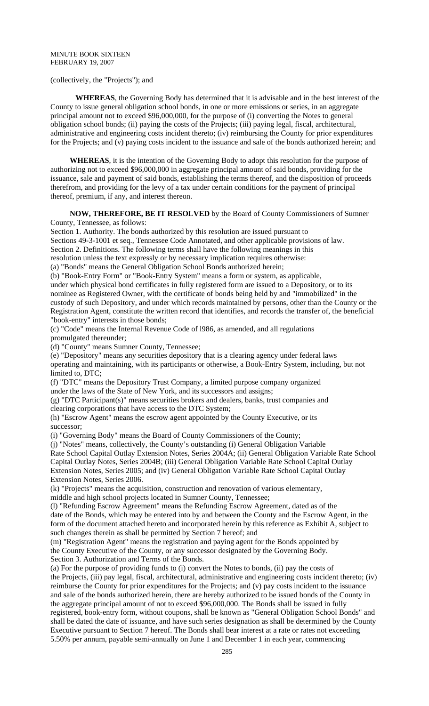#### (collectively, the "Projects"); and

 **WHEREAS**, the Governing Body has determined that it is advisable and in the best interest of the County to issue general obligation school bonds, in one or more emissions or series, in an aggregate principal amount not to exceed \$96,000,000, for the purpose of (i) converting the Notes to general obligation school bonds; (ii) paying the costs of the Projects; (iii) paying legal, fiscal, architectural, administrative and engineering costs incident thereto; (iv) reimbursing the County for prior expenditures for the Projects; and (v) paying costs incident to the issuance and sale of the bonds authorized herein; and

 **WHEREAS**, it is the intention of the Governing Body to adopt this resolution for the purpose of authorizing not to exceed \$96,000,000 in aggregate principal amount of said bonds, providing for the issuance, sale and payment of said bonds, establishing the terms thereof, and the disposition of proceeds therefrom, and providing for the levy of a tax under certain conditions for the payment of principal thereof, premium, if any, and interest thereon.

 **NOW, THEREFORE, BE IT RESOLVED** by the Board of County Commissioners of Sumner County, Tennessee, as follows:

Section 1. Authority. The bonds authorized by this resolution are issued pursuant to Sections 49-3-1001 et seq., Tennessee Code Annotated, and other applicable provisions of law. Section 2. Definitions. The following terms shall have the following meanings in this resolution unless the text expressly or by necessary implication requires otherwise: (a) "Bonds" means the General Obligation School Bonds authorized herein;

(b) "Book-Entry Form" or "Book-Entry System" means a form or system, as applicable, under which physical bond certificates in fully registered form are issued to a Depository, or to its nominee as Registered Owner, with the certificate of bonds being held by and "immobilized" in the custody of such Depository, and under which records maintained by persons, other than the County or the Registration Agent, constitute the written record that identifies, and records the transfer of, the beneficial "book-entry" interests in those bonds;

(c) "Code" means the Internal Revenue Code of l986, as amended, and all regulations promulgated thereunder;

(d) "County" means Sumner County, Tennessee;

(e) "Depository" means any securities depository that is a clearing agency under federal laws operating and maintaining, with its participants or otherwise, a Book-Entry System, including, but not limited to, DTC;

(f) "DTC" means the Depository Trust Company, a limited purpose company organized

under the laws of the State of New York, and its successors and assigns;

(g) "DTC Participant(s)" means securities brokers and dealers, banks, trust companies and clearing corporations that have access to the DTC System;

(h) "Escrow Agent" means the escrow agent appointed by the County Executive, or its successor;

(i) "Governing Body" means the Board of County Commissioners of the County;

(j) "Notes" means, collectively, the County's outstanding (i) General Obligation Variable Rate School Capital Outlay Extension Notes, Series 2004A; (ii) General Obligation Variable Rate School Capital Outlay Notes, Series 2004B; (iii) General Obligation Variable Rate School Capital Outlay Extension Notes, Series 2005; and (iv) General Obligation Variable Rate School Capital Outlay Extension Notes, Series 2006.

(k) "Projects" means the acquisition, construction and renovation of various elementary, middle and high school projects located in Sumner County, Tennessee;

(l) "Refunding Escrow Agreement" means the Refunding Escrow Agreement, dated as of the

date of the Bonds, which may be entered into by and between the County and the Escrow Agent, in the form of the document attached hereto and incorporated herein by this reference as Exhibit A, subject to such changes therein as shall be permitted by Section 7 hereof; and

(m) "Registration Agent" means the registration and paying agent for the Bonds appointed by the County Executive of the County, or any successor designated by the Governing Body. Section 3. Authorization and Terms of the Bonds.

(a) For the purpose of providing funds to (i) convert the Notes to bonds, (ii) pay the costs of the Projects, (iii) pay legal, fiscal, architectural, administrative and engineering costs incident thereto; (iv) reimburse the County for prior expenditures for the Projects; and (v) pay costs incident to the issuance and sale of the bonds authorized herein, there are hereby authorized to be issued bonds of the County in the aggregate principal amount of not to exceed \$96,000,000. The Bonds shall be issued in fully registered, book-entry form, without coupons, shall be known as "General Obligation School Bonds" and shall be dated the date of issuance, and have such series designation as shall be determined by the County Executive pursuant to Section 7 hereof. The Bonds shall bear interest at a rate or rates not exceeding 5.50% per annum, payable semi-annually on June 1 and December 1 in each year, commencing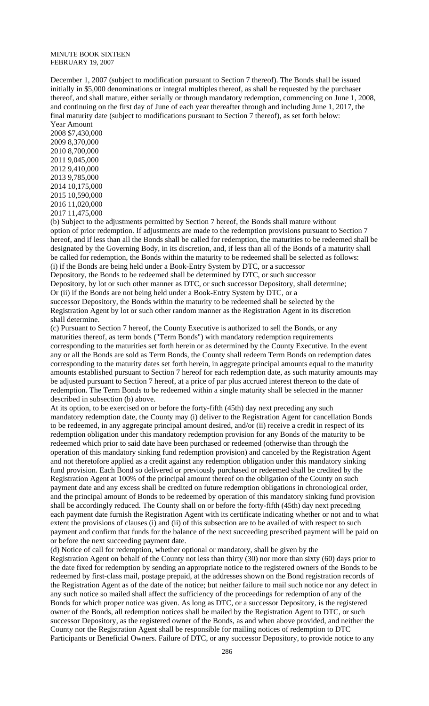December 1, 2007 (subject to modification pursuant to Section 7 thereof). The Bonds shall be issued initially in \$5,000 denominations or integral multiples thereof, as shall be requested by the purchaser thereof, and shall mature, either serially or through mandatory redemption, commencing on June 1, 2008, and continuing on the first day of June of each year thereafter through and including June 1, 2017, the final maturity date (subject to modifications pursuant to Section 7 thereof), as set forth below:

Year Amount 2008 \$7,430,000 2009 8,370,000 2010 8,700,000 2011 9,045,000 2012 9,410,000 2013 9,785,000 2014 10,175,000 2015 10,590,000 2016 11,020,000 2017 11,475,000

(b) Subject to the adjustments permitted by Section 7 hereof, the Bonds shall mature without option of prior redemption. If adjustments are made to the redemption provisions pursuant to Section 7 hereof, and if less than all the Bonds shall be called for redemption, the maturities to be redeemed shall be designated by the Governing Body, in its discretion, and, if less than all of the Bonds of a maturity shall be called for redemption, the Bonds within the maturity to be redeemed shall be selected as follows: (i) if the Bonds are being held under a Book-Entry System by DTC, or a successor Depository, the Bonds to be redeemed shall be determined by DTC, or such successor Depository, by lot or such other manner as DTC, or such successor Depository, shall determine; Or (ii) if the Bonds are not being held under a Book-Entry System by DTC, or a successor Depository, the Bonds within the maturity to be redeemed shall be selected by the Registration Agent by lot or such other random manner as the Registration Agent in its discretion shall determine.

(c) Pursuant to Section 7 hereof, the County Executive is authorized to sell the Bonds, or any maturities thereof, as term bonds ("Term Bonds") with mandatory redemption requirements corresponding to the maturities set forth herein or as determined by the County Executive. In the event any or all the Bonds are sold as Term Bonds, the County shall redeem Term Bonds on redemption dates corresponding to the maturity dates set forth herein, in aggregate principal amounts equal to the maturity amounts established pursuant to Section 7 hereof for each redemption date, as such maturity amounts may be adjusted pursuant to Section 7 hereof, at a price of par plus accrued interest thereon to the date of redemption. The Term Bonds to be redeemed within a single maturity shall be selected in the manner described in subsection (b) above.

At its option, to be exercised on or before the forty-fifth (45th) day next preceding any such mandatory redemption date, the County may (i) deliver to the Registration Agent for cancellation Bonds to be redeemed, in any aggregate principal amount desired, and/or (ii) receive a credit in respect of its redemption obligation under this mandatory redemption provision for any Bonds of the maturity to be redeemed which prior to said date have been purchased or redeemed (otherwise than through the operation of this mandatory sinking fund redemption provision) and canceled by the Registration Agent and not theretofore applied as a credit against any redemption obligation under this mandatory sinking fund provision. Each Bond so delivered or previously purchased or redeemed shall be credited by the Registration Agent at 100% of the principal amount thereof on the obligation of the County on such payment date and any excess shall be credited on future redemption obligations in chronological order, and the principal amount of Bonds to be redeemed by operation of this mandatory sinking fund provision shall be accordingly reduced. The County shall on or before the forty-fifth (45th) day next preceding each payment date furnish the Registration Agent with its certificate indicating whether or not and to what extent the provisions of clauses (i) and (ii) of this subsection are to be availed of with respect to such payment and confirm that funds for the balance of the next succeeding prescribed payment will be paid on or before the next succeeding payment date.

(d) Notice of call for redemption, whether optional or mandatory, shall be given by the Registration Agent on behalf of the County not less than thirty (30) nor more than sixty (60) days prior to the date fixed for redemption by sending an appropriate notice to the registered owners of the Bonds to be redeemed by first-class mail, postage prepaid, at the addresses shown on the Bond registration records of the Registration Agent as of the date of the notice; but neither failure to mail such notice nor any defect in any such notice so mailed shall affect the sufficiency of the proceedings for redemption of any of the Bonds for which proper notice was given. As long as DTC, or a successor Depository, is the registered owner of the Bonds, all redemption notices shall be mailed by the Registration Agent to DTC, or such successor Depository, as the registered owner of the Bonds, as and when above provided, and neither the County nor the Registration Agent shall be responsible for mailing notices of redemption to DTC Participants or Beneficial Owners. Failure of DTC, or any successor Depository, to provide notice to any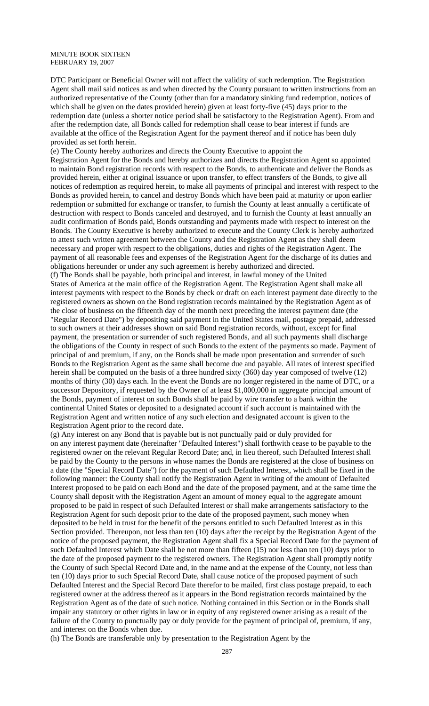DTC Participant or Beneficial Owner will not affect the validity of such redemption. The Registration Agent shall mail said notices as and when directed by the County pursuant to written instructions from an authorized representative of the County (other than for a mandatory sinking fund redemption, notices of which shall be given on the dates provided herein) given at least forty-five (45) days prior to the redemption date (unless a shorter notice period shall be satisfactory to the Registration Agent). From and after the redemption date, all Bonds called for redemption shall cease to bear interest if funds are available at the office of the Registration Agent for the payment thereof and if notice has been duly provided as set forth herein.

(e) The County hereby authorizes and directs the County Executive to appoint the Registration Agent for the Bonds and hereby authorizes and directs the Registration Agent so appointed to maintain Bond registration records with respect to the Bonds, to authenticate and deliver the Bonds as provided herein, either at original issuance or upon transfer, to effect transfers of the Bonds, to give all notices of redemption as required herein, to make all payments of principal and interest with respect to the Bonds as provided herein, to cancel and destroy Bonds which have been paid at maturity or upon earlier redemption or submitted for exchange or transfer, to furnish the County at least annually a certificate of destruction with respect to Bonds canceled and destroyed, and to furnish the County at least annually an audit confirmation of Bonds paid, Bonds outstanding and payments made with respect to interest on the Bonds. The County Executive is hereby authorized to execute and the County Clerk is hereby authorized to attest such written agreement between the County and the Registration Agent as they shall deem necessary and proper with respect to the obligations, duties and rights of the Registration Agent. The payment of all reasonable fees and expenses of the Registration Agent for the discharge of its duties and obligations hereunder or under any such agreement is hereby authorized and directed. (f) The Bonds shall be payable, both principal and interest, in lawful money of the United States of America at the main office of the Registration Agent. The Registration Agent shall make all interest payments with respect to the Bonds by check or draft on each interest payment date directly to the registered owners as shown on the Bond registration records maintained by the Registration Agent as of the close of business on the fifteenth day of the month next preceding the interest payment date (the "Regular Record Date") by depositing said payment in the United States mail, postage prepaid, addressed to such owners at their addresses shown on said Bond registration records, without, except for final payment, the presentation or surrender of such registered Bonds, and all such payments shall discharge the obligations of the County in respect of such Bonds to the extent of the payments so made. Payment of principal of and premium, if any, on the Bonds shall be made upon presentation and surrender of such Bonds to the Registration Agent as the same shall become due and payable. All rates of interest specified herein shall be computed on the basis of a three hundred sixty (360) day year composed of twelve (12) months of thirty (30) days each. In the event the Bonds are no longer registered in the name of DTC, or a successor Depository, if requested by the Owner of at least \$1,000,000 in aggregate principal amount of the Bonds, payment of interest on such Bonds shall be paid by wire transfer to a bank within the continental United States or deposited to a designated account if such account is maintained with the Registration Agent and written notice of any such election and designated account is given to the Registration Agent prior to the record date.

(g) Any interest on any Bond that is payable but is not punctually paid or duly provided for on any interest payment date (hereinafter "Defaulted Interest") shall forthwith cease to be payable to the registered owner on the relevant Regular Record Date; and, in lieu thereof, such Defaulted Interest shall be paid by the County to the persons in whose names the Bonds are registered at the close of business on a date (the "Special Record Date") for the payment of such Defaulted Interest, which shall be fixed in the following manner: the County shall notify the Registration Agent in writing of the amount of Defaulted Interest proposed to be paid on each Bond and the date of the proposed payment, and at the same time the County shall deposit with the Registration Agent an amount of money equal to the aggregate amount proposed to be paid in respect of such Defaulted Interest or shall make arrangements satisfactory to the Registration Agent for such deposit prior to the date of the proposed payment, such money when deposited to be held in trust for the benefit of the persons entitled to such Defaulted Interest as in this Section provided. Thereupon, not less than ten (10) days after the receipt by the Registration Agent of the notice of the proposed payment, the Registration Agent shall fix a Special Record Date for the payment of such Defaulted Interest which Date shall be not more than fifteen (15) nor less than ten (10) days prior to the date of the proposed payment to the registered owners. The Registration Agent shall promptly notify the County of such Special Record Date and, in the name and at the expense of the County, not less than ten (10) days prior to such Special Record Date, shall cause notice of the proposed payment of such Defaulted Interest and the Special Record Date therefor to be mailed, first class postage prepaid, to each registered owner at the address thereof as it appears in the Bond registration records maintained by the Registration Agent as of the date of such notice. Nothing contained in this Section or in the Bonds shall impair any statutory or other rights in law or in equity of any registered owner arising as a result of the failure of the County to punctually pay or duly provide for the payment of principal of, premium, if any, and interest on the Bonds when due.

(h) The Bonds are transferable only by presentation to the Registration Agent by the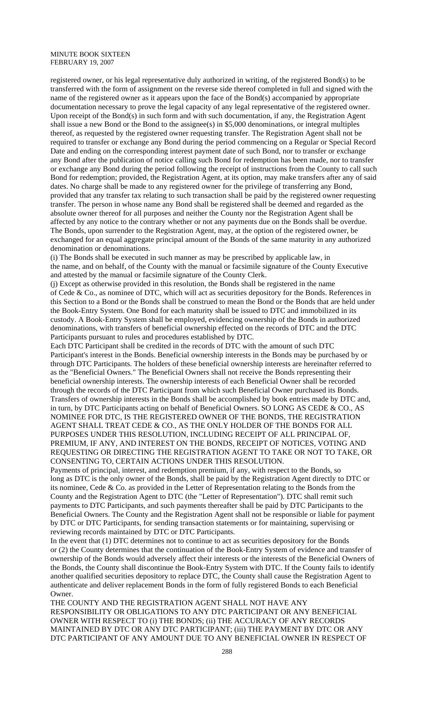registered owner, or his legal representative duly authorized in writing, of the registered Bond(s) to be transferred with the form of assignment on the reverse side thereof completed in full and signed with the name of the registered owner as it appears upon the face of the Bond(s) accompanied by appropriate documentation necessary to prove the legal capacity of any legal representative of the registered owner. Upon receipt of the Bond(s) in such form and with such documentation, if any, the Registration Agent shall issue a new Bond or the Bond to the assignee(s) in \$5,000 denominations, or integral multiples thereof, as requested by the registered owner requesting transfer. The Registration Agent shall not be required to transfer or exchange any Bond during the period commencing on a Regular or Special Record Date and ending on the corresponding interest payment date of such Bond, nor to transfer or exchange any Bond after the publication of notice calling such Bond for redemption has been made, nor to transfer or exchange any Bond during the period following the receipt of instructions from the County to call such Bond for redemption; provided, the Registration Agent, at its option, may make transfers after any of said dates. No charge shall be made to any registered owner for the privilege of transferring any Bond, provided that any transfer tax relating to such transaction shall be paid by the registered owner requesting transfer. The person in whose name any Bond shall be registered shall be deemed and regarded as the absolute owner thereof for all purposes and neither the County nor the Registration Agent shall be affected by any notice to the contrary whether or not any payments due on the Bonds shall be overdue. The Bonds, upon surrender to the Registration Agent, may, at the option of the registered owner, be exchanged for an equal aggregate principal amount of the Bonds of the same maturity in any authorized denomination or denominations.

(i) The Bonds shall be executed in such manner as may be prescribed by applicable law, in the name, and on behalf, of the County with the manual or facsimile signature of the County Executive and attested by the manual or facsimile signature of the County Clerk.

(j) Except as otherwise provided in this resolution, the Bonds shall be registered in the name of Cede & Co., as nominee of DTC, which will act as securities depository for the Bonds. References in this Section to a Bond or the Bonds shall be construed to mean the Bond or the Bonds that are held under the Book-Entry System. One Bond for each maturity shall be issued to DTC and immobilized in its custody. A Book-Entry System shall be employed, evidencing ownership of the Bonds in authorized denominations, with transfers of beneficial ownership effected on the records of DTC and the DTC Participants pursuant to rules and procedures established by DTC.

Each DTC Participant shall be credited in the records of DTC with the amount of such DTC Participant's interest in the Bonds. Beneficial ownership interests in the Bonds may be purchased by or through DTC Participants. The holders of these beneficial ownership interests are hereinafter referred to as the "Beneficial Owners." The Beneficial Owners shall not receive the Bonds representing their beneficial ownership interests. The ownership interests of each Beneficial Owner shall be recorded through the records of the DTC Participant from which such Beneficial Owner purchased its Bonds. Transfers of ownership interests in the Bonds shall be accomplished by book entries made by DTC and, in turn, by DTC Participants acting on behalf of Beneficial Owners. SO LONG AS CEDE & CO., AS NOMINEE FOR DTC, IS THE REGISTERED OWNER OF THE BONDS, THE REGISTRATION AGENT SHALL TREAT CEDE & CO., AS THE ONLY HOLDER OF THE BONDS FOR ALL PURPOSES UNDER THIS RESOLUTION, INCLUDING RECEIPT OF ALL PRINCIPAL OF, PREMIUM, IF ANY, AND INTEREST ON THE BONDS, RECEIPT OF NOTICES, VOTING AND REQUESTING OR DIRECTING THE REGISTRATION AGENT TO TAKE OR NOT TO TAKE, OR CONSENTING TO, CERTAIN ACTIONS UNDER THIS RESOLUTION.

Payments of principal, interest, and redemption premium, if any, with respect to the Bonds, so long as DTC is the only owner of the Bonds, shall be paid by the Registration Agent directly to DTC or its nominee, Cede & Co. as provided in the Letter of Representation relating to the Bonds from the County and the Registration Agent to DTC (the "Letter of Representation"). DTC shall remit such payments to DTC Participants, and such payments thereafter shall be paid by DTC Participants to the Beneficial Owners. The County and the Registration Agent shall not be responsible or liable for payment by DTC or DTC Participants, for sending transaction statements or for maintaining, supervising or reviewing records maintained by DTC or DTC Participants.

In the event that (1) DTC determines not to continue to act as securities depository for the Bonds or (2) the County determines that the continuation of the Book-Entry System of evidence and transfer of ownership of the Bonds would adversely affect their interests or the interests of the Beneficial Owners of the Bonds, the County shall discontinue the Book-Entry System with DTC. If the County fails to identify another qualified securities depository to replace DTC, the County shall cause the Registration Agent to authenticate and deliver replacement Bonds in the form of fully registered Bonds to each Beneficial **Owner** 

THE COUNTY AND THE REGISTRATION AGENT SHALL NOT HAVE ANY RESPONSIBILITY OR OBLIGATIONS TO ANY DTC PARTICIPANT OR ANY BENEFICIAL OWNER WITH RESPECT TO (i) THE BONDS; (ii) THE ACCURACY OF ANY RECORDS MAINTAINED BY DTC OR ANY DTC PARTICIPANT; (iii) THE PAYMENT BY DTC OR ANY DTC PARTICIPANT OF ANY AMOUNT DUE TO ANY BENEFICIAL OWNER IN RESPECT OF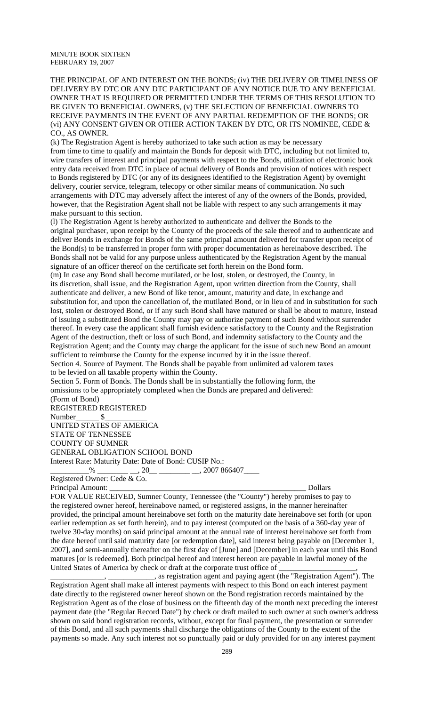THE PRINCIPAL OF AND INTEREST ON THE BONDS; (iv) THE DELIVERY OR TIMELINESS OF DELIVERY BY DTC OR ANY DTC PARTICIPANT OF ANY NOTICE DUE TO ANY BENEFICIAL OWNER THAT IS REQUIRED OR PERMITTED UNDER THE TERMS OF THIS RESOLUTION TO BE GIVEN TO BENEFICIAL OWNERS, (v) THE SELECTION OF BENEFICIAL OWNERS TO RECEIVE PAYMENTS IN THE EVENT OF ANY PARTIAL REDEMPTION OF THE BONDS; OR (vi) ANY CONSENT GIVEN OR OTHER ACTION TAKEN BY DTC, OR ITS NOMINEE, CEDE & CO., AS OWNER.

(k) The Registration Agent is hereby authorized to take such action as may be necessary from time to time to qualify and maintain the Bonds for deposit with DTC, including but not limited to, wire transfers of interest and principal payments with respect to the Bonds, utilization of electronic book entry data received from DTC in place of actual delivery of Bonds and provision of notices with respect to Bonds registered by DTC (or any of its designees identified to the Registration Agent) by overnight delivery, courier service, telegram, telecopy or other similar means of communication. No such arrangements with DTC may adversely affect the interest of any of the owners of the Bonds, provided, however, that the Registration Agent shall not be liable with respect to any such arrangements it may make pursuant to this section.

(l) The Registration Agent is hereby authorized to authenticate and deliver the Bonds to the original purchaser, upon receipt by the County of the proceeds of the sale thereof and to authenticate and deliver Bonds in exchange for Bonds of the same principal amount delivered for transfer upon receipt of the Bond(s) to be transferred in proper form with proper documentation as hereinabove described. The Bonds shall not be valid for any purpose unless authenticated by the Registration Agent by the manual signature of an officer thereof on the certificate set forth herein on the Bond form.

(m) In case any Bond shall become mutilated, or be lost, stolen, or destroyed, the County, in its discretion, shall issue, and the Registration Agent, upon written direction from the County, shall authenticate and deliver, a new Bond of like tenor, amount, maturity and date, in exchange and substitution for, and upon the cancellation of, the mutilated Bond, or in lieu of and in substitution for such lost, stolen or destroyed Bond, or if any such Bond shall have matured or shall be about to mature, instead of issuing a substituted Bond the County may pay or authorize payment of such Bond without surrender thereof. In every case the applicant shall furnish evidence satisfactory to the County and the Registration Agent of the destruction, theft or loss of such Bond, and indemnity satisfactory to the County and the Registration Agent; and the County may charge the applicant for the issue of such new Bond an amount sufficient to reimburse the County for the expense incurred by it in the issue thereof.

Section 4. Source of Payment. The Bonds shall be payable from unlimited ad valorem taxes to be levied on all taxable property within the County.

Section 5. Form of Bonds. The Bonds shall be in substantially the following form, the omissions to be appropriately completed when the Bonds are prepared and delivered: (Form of Bond)

REGISTERED REGISTERED Number \$

UNITED STATES OF AMERICA

STATE OF TENNESSEE

COUNTY OF SUMNER

GENERAL OBLIGATION SCHOOL BOND

Interest Rate: Maturity Date: Date of Bond: CUSIP No.:

\_\_\_\_\_\_\_\_\_\_% \_\_\_\_\_\_\_\_ \_\_, 20\_\_ \_\_\_\_\_\_\_\_ \_\_, 2007 866407\_\_\_\_

Registered Owner: Cede & Co. Principal Amount: **Example 2.1** Dollars **Dollars Dollars** 

FOR VALUE RECEIVED, Sumner County, Tennessee (the "County") hereby promises to pay to the registered owner hereof, hereinabove named, or registered assigns, in the manner hereinafter provided, the principal amount hereinabove set forth on the maturity date hereinabove set forth (or upon earlier redemption as set forth herein), and to pay interest (computed on the basis of a 360-day year of twelve 30-day months) on said principal amount at the annual rate of interest hereinabove set forth from the date hereof until said maturity date [or redemption date], said interest being payable on [December 1, 2007], and semi-annually thereafter on the first day of [June] and [December] in each year until this Bond matures [or is redeemed]. Both principal hereof and interest hereon are payable in lawful money of the United States of America by check or draft at the corporate trust office of

\_\_\_\_\_\_\_\_\_\_\_\_\_\_, \_\_\_\_\_\_\_\_\_\_\_\_, as registration agent and paying agent (the "Registration Agent"). The Registration Agent shall make all interest payments with respect to this Bond on each interest payment date directly to the registered owner hereof shown on the Bond registration records maintained by the Registration Agent as of the close of business on the fifteenth day of the month next preceding the interest payment date (the "Regular Record Date") by check or draft mailed to such owner at such owner's address shown on said bond registration records, without, except for final payment, the presentation or surrender of this Bond, and all such payments shall discharge the obligations of the County to the extent of the payments so made. Any such interest not so punctually paid or duly provided for on any interest payment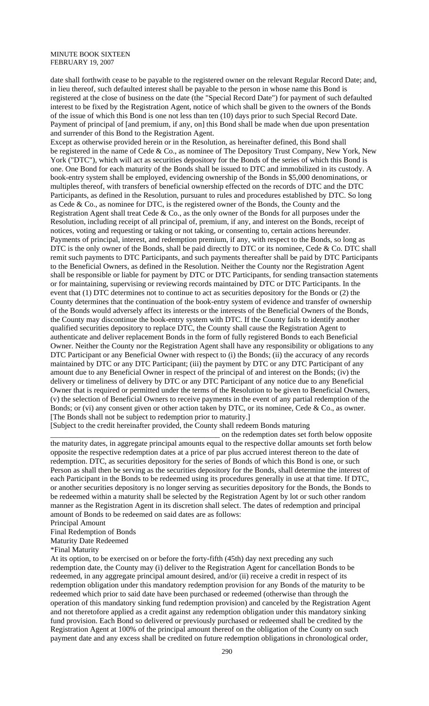date shall forthwith cease to be payable to the registered owner on the relevant Regular Record Date; and, in lieu thereof, such defaulted interest shall be payable to the person in whose name this Bond is registered at the close of business on the date (the "Special Record Date") for payment of such defaulted interest to be fixed by the Registration Agent, notice of which shall be given to the owners of the Bonds of the issue of which this Bond is one not less than ten (10) days prior to such Special Record Date. Payment of principal of [and premium, if any, on] this Bond shall be made when due upon presentation and surrender of this Bond to the Registration Agent.

Except as otherwise provided herein or in the Resolution, as hereinafter defined, this Bond shall be registered in the name of Cede & Co., as nominee of The Depository Trust Company, New York, New York ("DTC"), which will act as securities depository for the Bonds of the series of which this Bond is one. One Bond for each maturity of the Bonds shall be issued to DTC and immobilized in its custody. A book-entry system shall be employed, evidencing ownership of the Bonds in \$5,000 denominations, or multiples thereof, with transfers of beneficial ownership effected on the records of DTC and the DTC Participants, as defined in the Resolution, pursuant to rules and procedures established by DTC. So long as Cede & Co., as nominee for DTC, is the registered owner of the Bonds, the County and the Registration Agent shall treat Cede & Co., as the only owner of the Bonds for all purposes under the Resolution, including receipt of all principal of, premium, if any, and interest on the Bonds, receipt of notices, voting and requesting or taking or not taking, or consenting to, certain actions hereunder. Payments of principal, interest, and redemption premium, if any, with respect to the Bonds, so long as DTC is the only owner of the Bonds, shall be paid directly to DTC or its nominee, Cede & Co. DTC shall remit such payments to DTC Participants, and such payments thereafter shall be paid by DTC Participants to the Beneficial Owners, as defined in the Resolution. Neither the County nor the Registration Agent shall be responsible or liable for payment by DTC or DTC Participants, for sending transaction statements or for maintaining, supervising or reviewing records maintained by DTC or DTC Participants. In the event that (1) DTC determines not to continue to act as securities depository for the Bonds or (2) the County determines that the continuation of the book-entry system of evidence and transfer of ownership of the Bonds would adversely affect its interests or the interests of the Beneficial Owners of the Bonds, the County may discontinue the book-entry system with DTC. If the County fails to identify another qualified securities depository to replace DTC, the County shall cause the Registration Agent to authenticate and deliver replacement Bonds in the form of fully registered Bonds to each Beneficial Owner. Neither the County nor the Registration Agent shall have any responsibility or obligations to any DTC Participant or any Beneficial Owner with respect to (i) the Bonds; (ii) the accuracy of any records maintained by DTC or any DTC Participant; (iii) the payment by DTC or any DTC Participant of any amount due to any Beneficial Owner in respect of the principal of and interest on the Bonds; (iv) the delivery or timeliness of delivery by DTC or any DTC Participant of any notice due to any Beneficial Owner that is required or permitted under the terms of the Resolution to be given to Beneficial Owners, (v) the selection of Beneficial Owners to receive payments in the event of any partial redemption of the Bonds; or (vi) any consent given or other action taken by DTC, or its nominee, Cede & Co., as owner. [The Bonds shall not be subject to redemption prior to maturity.]

[Subject to the credit hereinafter provided, the County shall redeem Bonds maturing

\_\_\_\_\_\_\_\_\_\_\_\_\_\_\_\_\_\_\_\_\_\_\_\_\_\_\_\_\_\_\_\_\_\_\_\_\_\_\_\_\_\_\_\_ on the redemption dates set forth below opposite the maturity dates, in aggregate principal amounts equal to the respective dollar amounts set forth below opposite the respective redemption dates at a price of par plus accrued interest thereon to the date of redemption. DTC, as securities depository for the series of Bonds of which this Bond is one, or such Person as shall then be serving as the securities depository for the Bonds, shall determine the interest of each Participant in the Bonds to be redeemed using its procedures generally in use at that time. If DTC, or another securities depository is no longer serving as securities depository for the Bonds, the Bonds to be redeemed within a maturity shall be selected by the Registration Agent by lot or such other random manner as the Registration Agent in its discretion shall select. The dates of redemption and principal amount of Bonds to be redeemed on said dates are as follows:

Principal Amount

Final Redemption of Bonds

Maturity Date Redeemed

\*Final Maturity

At its option, to be exercised on or before the forty-fifth (45th) day next preceding any such redemption date, the County may (i) deliver to the Registration Agent for cancellation Bonds to be redeemed, in any aggregate principal amount desired, and/or (ii) receive a credit in respect of its redemption obligation under this mandatory redemption provision for any Bonds of the maturity to be redeemed which prior to said date have been purchased or redeemed (otherwise than through the operation of this mandatory sinking fund redemption provision) and canceled by the Registration Agent and not theretofore applied as a credit against any redemption obligation under this mandatory sinking fund provision. Each Bond so delivered or previously purchased or redeemed shall be credited by the Registration Agent at 100% of the principal amount thereof on the obligation of the County on such payment date and any excess shall be credited on future redemption obligations in chronological order,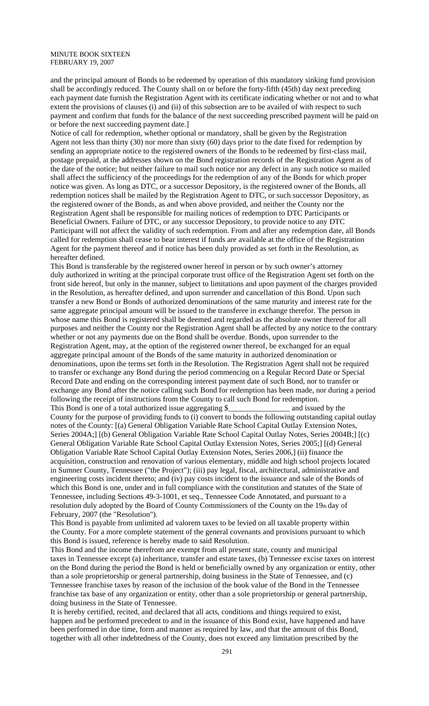and the principal amount of Bonds to be redeemed by operation of this mandatory sinking fund provision shall be accordingly reduced. The County shall on or before the forty-fifth (45th) day next preceding each payment date furnish the Registration Agent with its certificate indicating whether or not and to what extent the provisions of clauses (i) and (ii) of this subsection are to be availed of with respect to such payment and confirm that funds for the balance of the next succeeding prescribed payment will be paid on or before the next succeeding payment date.]

Notice of call for redemption, whether optional or mandatory, shall be given by the Registration Agent not less than thirty (30) nor more than sixty (60) days prior to the date fixed for redemption by sending an appropriate notice to the registered owners of the Bonds to be redeemed by first-class mail, postage prepaid, at the addresses shown on the Bond registration records of the Registration Agent as of the date of the notice; but neither failure to mail such notice nor any defect in any such notice so mailed shall affect the sufficiency of the proceedings for the redemption of any of the Bonds for which proper notice was given. As long as DTC, or a successor Depository, is the registered owner of the Bonds, all redemption notices shall be mailed by the Registration Agent to DTC, or such successor Depository, as the registered owner of the Bonds, as and when above provided, and neither the County nor the Registration Agent shall be responsible for mailing notices of redemption to DTC Participants or Beneficial Owners. Failure of DTC, or any successor Depository, to provide notice to any DTC Participant will not affect the validity of such redemption. From and after any redemption date, all Bonds called for redemption shall cease to bear interest if funds are available at the office of the Registration Agent for the payment thereof and if notice has been duly provided as set forth in the Resolution, as hereafter defined.

This Bond is transferable by the registered owner hereof in person or by such owner's attorney duly authorized in writing at the principal corporate trust office of the Registration Agent set forth on the front side hereof, but only in the manner, subject to limitations and upon payment of the charges provided in the Resolution, as hereafter defined, and upon surrender and cancellation of this Bond. Upon such transfer a new Bond or Bonds of authorized denominations of the same maturity and interest rate for the same aggregate principal amount will be issued to the transferee in exchange therefor. The person in whose name this Bond is registered shall be deemed and regarded as the absolute owner thereof for all purposes and neither the County nor the Registration Agent shall be affected by any notice to the contrary whether or not any payments due on the Bond shall be overdue. Bonds, upon surrender to the Registration Agent, may, at the option of the registered owner thereof, be exchanged for an equal aggregate principal amount of the Bonds of the same maturity in authorized denomination or denominations, upon the terms set forth in the Resolution. The Registration Agent shall not be required to transfer or exchange any Bond during the period commencing on a Regular Record Date or Special Record Date and ending on the corresponding interest payment date of such Bond, nor to transfer or exchange any Bond after the notice calling such Bond for redemption has been made, nor during a period following the receipt of instructions from the County to call such Bond for redemption.

This Bond is one of a total authorized issue aggregating \$\_\_\_\_\_\_\_\_\_\_\_\_\_\_\_\_ and issued by the County for the purpose of providing funds to (i) convert to bonds the following outstanding capital outlay notes of the County: [(a) General Obligation Variable Rate School Capital Outlay Extension Notes, Series 2004A;] [(b) General Obligation Variable Rate School Capital Outlay Notes, Series 2004B;] [(c) General Obligation Variable Rate School Capital Outlay Extension Notes, Series 2005;] [(d) General Obligation Variable Rate School Capital Outlay Extension Notes, Series 2006,] (ii) finance the acquisition, construction and renovation of various elementary, middle and high school projects located in Sumner County, Tennessee ("the Project"); (iii) pay legal, fiscal, architectural, administrative and engineering costs incident thereto; and (iv) pay costs incident to the issuance and sale of the Bonds of which this Bond is one, under and in full compliance with the constitution and statutes of the State of Tennessee, including Sections 49-3-1001, et seq., Tennessee Code Annotated, and pursuant to a resolution duly adopted by the Board of County Commissioners of the County on the 19th day of February, 2007 (the "Resolution").

This Bond is payable from unlimited ad valorem taxes to be levied on all taxable property within the County. For a more complete statement of the general covenants and provisions pursuant to which this Bond is issued, reference is hereby made to said Resolution.

This Bond and the income therefrom are exempt from all present state, county and municipal taxes in Tennessee except (a) inheritance, transfer and estate taxes, (b) Tennessee excise taxes on interest on the Bond during the period the Bond is held or beneficially owned by any organization or entity, other than a sole proprietorship or general partnership, doing business in the State of Tennessee, and (c) Tennessee franchise taxes by reason of the inclusion of the book value of the Bond in the Tennessee franchise tax base of any organization or entity, other than a sole proprietorship or general partnership, doing business in the State of Tennessee.

It is hereby certified, recited, and declared that all acts, conditions and things required to exist, happen and be performed precedent to and in the issuance of this Bond exist, have happened and have been performed in due time, form and manner as required by law, and that the amount of this Bond, together with all other indebtedness of the County, does not exceed any limitation prescribed by the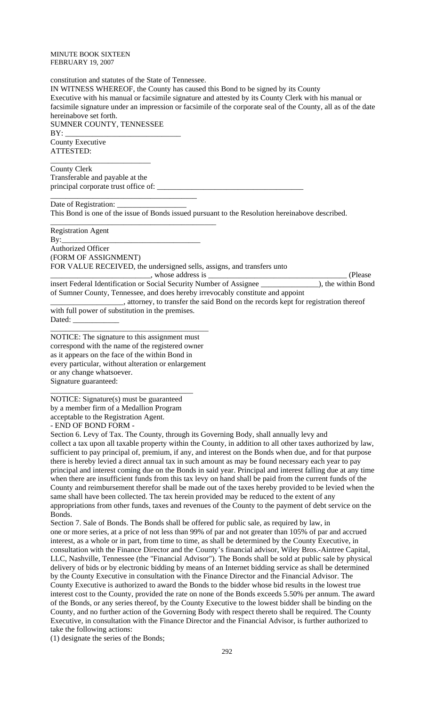constitution and statutes of the State of Tennessee. IN WITNESS WHEREOF, the County has caused this Bond to be signed by its County Executive with his manual or facsimile signature and attested by its County Clerk with his manual or facsimile signature under an impression or facsimile of the corporate seal of the County, all as of the date hereinabove set forth. SUMNER COUNTY, TENNESSEE  $BY:$ County Executive ATTESTED: \_\_\_\_\_\_\_\_\_\_\_\_\_\_\_\_\_\_\_\_\_\_\_\_\_\_ County Clerk Transferable and payable at the principal corporate trust office of: \_\_\_\_\_\_\_\_\_\_\_\_\_\_\_\_\_\_\_\_\_\_\_\_\_\_\_\_\_\_\_\_\_\_\_\_\_\_ Date of Registration: This Bond is one of the issue of Bonds issued pursuant to the Resolution hereinabove described. \_\_\_\_\_\_\_\_\_\_\_\_\_\_\_\_\_\_\_\_\_\_\_\_\_\_\_\_\_\_\_\_\_\_\_\_\_\_\_\_\_\_\_ Registration Agent By:\_\_\_\_\_\_\_\_\_\_\_\_\_\_\_\_\_\_\_\_\_\_\_\_\_\_\_\_\_\_\_\_\_\_\_\_ Authorized Officer (FORM OF ASSIGNMENT) FOR VALUE RECEIVED, the undersigned sells, assigns, and transfers unto \_\_\_\_\_\_\_\_\_\_\_\_\_\_\_\_\_\_\_\_\_\_\_\_\_\_, whose address is \_\_\_\_\_\_\_\_\_\_\_\_\_\_\_\_\_\_\_\_\_\_\_\_\_\_\_\_\_\_\_\_\_\_\_\_ (Please insert Federal Identification or Social Security Number of Assignee \_\_\_\_\_\_\_\_\_\_\_\_\_\_\_), the within Bond of Sumner County, Tennessee, and does hereby irrevocably constitute and appoint \_\_\_\_\_\_\_\_\_\_\_\_\_\_\_\_\_\_\_, attorney, to transfer the said Bond on the records kept for registration thereof with full power of substitution in the premises. Dated: \_\_\_\_\_\_\_\_\_\_\_\_\_\_\_\_\_\_\_\_\_\_\_\_\_\_\_\_\_\_\_\_\_\_\_\_\_\_\_\_\_ NOTICE: The signature to this assignment must correspond with the name of the registered owner as it appears on the face of the within Bond in every particular, without alteration or enlargement or any change whatsoever. Signature guaranteed: \_\_\_\_\_\_\_\_\_\_\_\_\_\_\_\_\_\_\_\_\_\_\_\_\_\_\_\_\_\_\_\_\_\_\_\_\_ NOTICE: Signature(s) must be guaranteed by a member firm of a Medallion Program acceptable to the Registration Agent. - END OF BOND FORM - Section 6. Levy of Tax. The County, through its Governing Body, shall annually levy and collect a tax upon all taxable property within the County, in addition to all other taxes authorized by law, sufficient to pay principal of, premium, if any, and interest on the Bonds when due, and for that purpose there is hereby levied a direct annual tax in such amount as may be found necessary each year to pay principal and interest coming due on the Bonds in said year. Principal and interest falling due at any time when there are insufficient funds from this tax levy on hand shall be paid from the current funds of the County and reimbursement therefor shall be made out of the taxes hereby provided to be levied when the

same shall have been collected. The tax herein provided may be reduced to the extent of any appropriations from other funds, taxes and revenues of the County to the payment of debt service on the Bonds.

Section 7. Sale of Bonds. The Bonds shall be offered for public sale, as required by law, in one or more series, at a price of not less than 99% of par and not greater than 105% of par and accrued interest, as a whole or in part, from time to time, as shall be determined by the County Executive, in consultation with the Finance Director and the County's financial advisor, Wiley Bros.-Aintree Capital, LLC, Nashville, Tennessee (the "Financial Advisor"). The Bonds shall be sold at public sale by physical delivery of bids or by electronic bidding by means of an Internet bidding service as shall be determined by the County Executive in consultation with the Finance Director and the Financial Advisor. The County Executive is authorized to award the Bonds to the bidder whose bid results in the lowest true interest cost to the County, provided the rate on none of the Bonds exceeds 5.50% per annum. The award of the Bonds, or any series thereof, by the County Executive to the lowest bidder shall be binding on the County, and no further action of the Governing Body with respect thereto shall be required. The County Executive, in consultation with the Finance Director and the Financial Advisor, is further authorized to take the following actions:

(1) designate the series of the Bonds;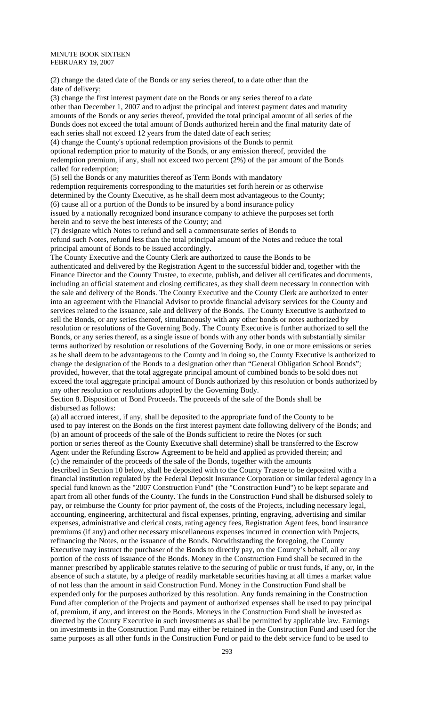(2) change the dated date of the Bonds or any series thereof, to a date other than the date of delivery;

(3) change the first interest payment date on the Bonds or any series thereof to a date other than December 1, 2007 and to adjust the principal and interest payment dates and maturity amounts of the Bonds or any series thereof, provided the total principal amount of all series of the Bonds does not exceed the total amount of Bonds authorized herein and the final maturity date of each series shall not exceed 12 years from the dated date of each series;

(4) change the County's optional redemption provisions of the Bonds to permit optional redemption prior to maturity of the Bonds, or any emission thereof, provided the redemption premium, if any, shall not exceed two percent (2%) of the par amount of the Bonds called for redemption;

(5) sell the Bonds or any maturities thereof as Term Bonds with mandatory

redemption requirements corresponding to the maturities set forth herein or as otherwise determined by the County Executive, as he shall deem most advantageous to the County; (6) cause all or a portion of the Bonds to be insured by a bond insurance policy

issued by a nationally recognized bond insurance company to achieve the purposes set forth herein and to serve the best interests of the County; and

(7) designate which Notes to refund and sell a commensurate series of Bonds to refund such Notes, refund less than the total principal amount of the Notes and reduce the total principal amount of Bonds to be issued accordingly.

The County Executive and the County Clerk are authorized to cause the Bonds to be authenticated and delivered by the Registration Agent to the successful bidder and, together with the Finance Director and the County Trustee, to execute, publish, and deliver all certificates and documents, including an official statement and closing certificates, as they shall deem necessary in connection with the sale and delivery of the Bonds. The County Executive and the County Clerk are authorized to enter into an agreement with the Financial Advisor to provide financial advisory services for the County and services related to the issuance, sale and delivery of the Bonds. The County Executive is authorized to sell the Bonds, or any series thereof, simultaneously with any other bonds or notes authorized by resolution or resolutions of the Governing Body. The County Executive is further authorized to sell the Bonds, or any series thereof, as a single issue of bonds with any other bonds with substantially similar terms authorized by resolution or resolutions of the Governing Body, in one or more emissions or series as he shall deem to be advantageous to the County and in doing so, the County Executive is authorized to change the designation of the Bonds to a designation other than "General Obligation School Bonds"; provided, however, that the total aggregate principal amount of combined bonds to be sold does not exceed the total aggregate principal amount of Bonds authorized by this resolution or bonds authorized by any other resolution or resolutions adopted by the Governing Body.

Section 8. Disposition of Bond Proceeds. The proceeds of the sale of the Bonds shall be disbursed as follows:

(a) all accrued interest, if any, shall be deposited to the appropriate fund of the County to be used to pay interest on the Bonds on the first interest payment date following delivery of the Bonds; and (b) an amount of proceeds of the sale of the Bonds sufficient to retire the Notes (or such portion or series thereof as the County Executive shall determine) shall be transferred to the Escrow Agent under the Refunding Escrow Agreement to be held and applied as provided therein; and (c) the remainder of the proceeds of the sale of the Bonds, together with the amounts described in Section 10 below, shall be deposited with to the County Trustee to be deposited with a financial institution regulated by the Federal Deposit Insurance Corporation or similar federal agency in a special fund known as the "2007 Construction Fund" (the "Construction Fund") to be kept separate and apart from all other funds of the County. The funds in the Construction Fund shall be disbursed solely to pay, or reimburse the County for prior payment of, the costs of the Projects, including necessary legal, accounting, engineering, architectural and fiscal expenses, printing, engraving, advertising and similar expenses, administrative and clerical costs, rating agency fees, Registration Agent fees, bond insurance premiums (if any) and other necessary miscellaneous expenses incurred in connection with Projects, refinancing the Notes, or the issuance of the Bonds. Notwithstanding the foregoing, the County Executive may instruct the purchaser of the Bonds to directly pay, on the County's behalf, all or any portion of the costs of issuance of the Bonds. Money in the Construction Fund shall be secured in the manner prescribed by applicable statutes relative to the securing of public or trust funds, if any, or, in the absence of such a statute, by a pledge of readily marketable securities having at all times a market value of not less than the amount in said Construction Fund. Money in the Construction Fund shall be expended only for the purposes authorized by this resolution. Any funds remaining in the Construction Fund after completion of the Projects and payment of authorized expenses shall be used to pay principal of, premium, if any, and interest on the Bonds. Moneys in the Construction Fund shall be invested as directed by the County Executive in such investments as shall be permitted by applicable law. Earnings on investments in the Construction Fund may either be retained in the Construction Fund and used for the same purposes as all other funds in the Construction Fund or paid to the debt service fund to be used to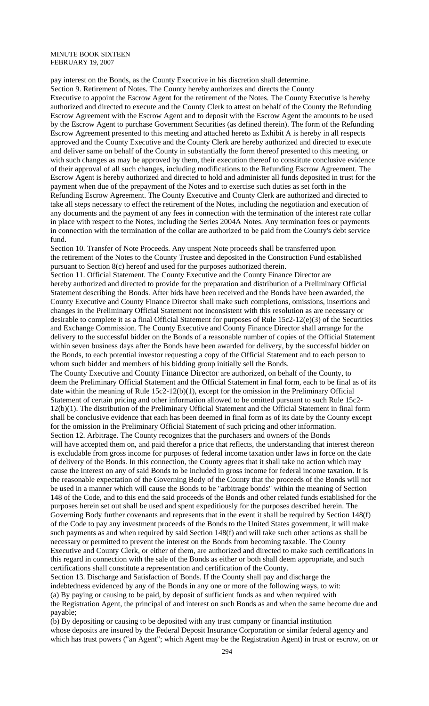pay interest on the Bonds, as the County Executive in his discretion shall determine.

Section 9. Retirement of Notes. The County hereby authorizes and directs the County

Executive to appoint the Escrow Agent for the retirement of the Notes. The County Executive is hereby authorized and directed to execute and the County Clerk to attest on behalf of the County the Refunding Escrow Agreement with the Escrow Agent and to deposit with the Escrow Agent the amounts to be used by the Escrow Agent to purchase Government Securities (as defined therein). The form of the Refunding Escrow Agreement presented to this meeting and attached hereto as Exhibit A is hereby in all respects approved and the County Executive and the County Clerk are hereby authorized and directed to execute and deliver same on behalf of the County in substantially the form thereof presented to this meeting, or with such changes as may be approved by them, their execution thereof to constitute conclusive evidence of their approval of all such changes, including modifications to the Refunding Escrow Agreement. The Escrow Agent is hereby authorized and directed to hold and administer all funds deposited in trust for the payment when due of the prepayment of the Notes and to exercise such duties as set forth in the Refunding Escrow Agreement. The County Executive and County Clerk are authorized and directed to take all steps necessary to effect the retirement of the Notes, including the negotiation and execution of any documents and the payment of any fees in connection with the termination of the interest rate collar in place with respect to the Notes, including the Series 2004A Notes. Any termination fees or payments in connection with the termination of the collar are authorized to be paid from the County's debt service fund.

Section 10. Transfer of Note Proceeds. Any unspent Note proceeds shall be transferred upon the retirement of the Notes to the County Trustee and deposited in the Construction Fund established pursuant to Section 8(c) hereof and used for the purposes authorized therein.

Section 11. Official Statement. The County Executive and the County Finance Director are hereby authorized and directed to provide for the preparation and distribution of a Preliminary Official Statement describing the Bonds. After bids have been received and the Bonds have been awarded, the County Executive and County Finance Director shall make such completions, omissions, insertions and changes in the Preliminary Official Statement not inconsistent with this resolution as are necessary or desirable to complete it as a final Official Statement for purposes of Rule 15c2-12(e)(3) of the Securities and Exchange Commission. The County Executive and County Finance Director shall arrange for the delivery to the successful bidder on the Bonds of a reasonable number of copies of the Official Statement within seven business days after the Bonds have been awarded for delivery, by the successful bidder on the Bonds, to each potential investor requesting a copy of the Official Statement and to each person to whom such bidder and members of his bidding group initially sell the Bonds.

The County Executive and County Finance Director are authorized, on behalf of the County, to deem the Preliminary Official Statement and the Official Statement in final form, each to be final as of its date within the meaning of Rule 15c2-12(b)(1), except for the omission in the Preliminary Official Statement of certain pricing and other information allowed to be omitted pursuant to such Rule 15c2- 12(b)(1). The distribution of the Preliminary Official Statement and the Official Statement in final form shall be conclusive evidence that each has been deemed in final form as of its date by the County except for the omission in the Preliminary Official Statement of such pricing and other information. Section 12. Arbitrage. The County recognizes that the purchasers and owners of the Bonds will have accepted them on, and paid therefor a price that reflects, the understanding that interest thereon is excludable from gross income for purposes of federal income taxation under laws in force on the date of delivery of the Bonds. In this connection, the County agrees that it shall take no action which may cause the interest on any of said Bonds to be included in gross income for federal income taxation. It is the reasonable expectation of the Governing Body of the County that the proceeds of the Bonds will not be used in a manner which will cause the Bonds to be "arbitrage bonds" within the meaning of Section 148 of the Code, and to this end the said proceeds of the Bonds and other related funds established for the purposes herein set out shall be used and spent expeditiously for the purposes described herein. The Governing Body further covenants and represents that in the event it shall be required by Section 148(f) of the Code to pay any investment proceeds of the Bonds to the United States government, it will make such payments as and when required by said Section 148(f) and will take such other actions as shall be necessary or permitted to prevent the interest on the Bonds from becoming taxable. The County Executive and County Clerk, or either of them, are authorized and directed to make such certifications in this regard in connection with the sale of the Bonds as either or both shall deem appropriate, and such certifications shall constitute a representation and certification of the County.

Section 13. Discharge and Satisfaction of Bonds. If the County shall pay and discharge the indebtedness evidenced by any of the Bonds in any one or more of the following ways, to wit: (a) By paying or causing to be paid, by deposit of sufficient funds as and when required with the Registration Agent, the principal of and interest on such Bonds as and when the same become due and payable;

(b) By depositing or causing to be deposited with any trust company or financial institution whose deposits are insured by the Federal Deposit Insurance Corporation or similar federal agency and which has trust powers ("an Agent"; which Agent may be the Registration Agent) in trust or escrow, on or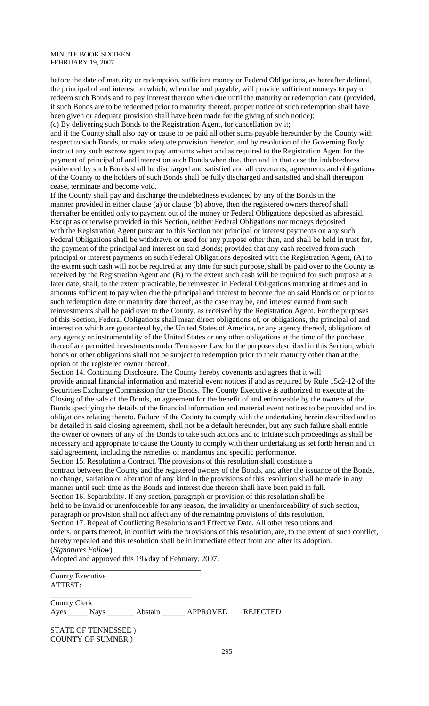before the date of maturity or redemption, sufficient money or Federal Obligations, as hereafter defined, the principal of and interest on which, when due and payable, will provide sufficient moneys to pay or redeem such Bonds and to pay interest thereon when due until the maturity or redemption date (provided, if such Bonds are to be redeemed prior to maturity thereof, proper notice of such redemption shall have been given or adequate provision shall have been made for the giving of such notice); (c) By delivering such Bonds to the Registration Agent, for cancellation by it;

and if the County shall also pay or cause to be paid all other sums payable hereunder by the County with respect to such Bonds, or make adequate provision therefor, and by resolution of the Governing Body instruct any such escrow agent to pay amounts when and as required to the Registration Agent for the payment of principal of and interest on such Bonds when due, then and in that case the indebtedness evidenced by such Bonds shall be discharged and satisfied and all covenants, agreements and obligations of the County to the holders of such Bonds shall be fully discharged and satisfied and shall thereupon cease, terminate and become void.

If the County shall pay and discharge the indebtedness evidenced by any of the Bonds in the manner provided in either clause (a) or clause (b) above, then the registered owners thereof shall thereafter be entitled only to payment out of the money or Federal Obligations deposited as aforesaid. Except as otherwise provided in this Section, neither Federal Obligations nor moneys deposited with the Registration Agent pursuant to this Section nor principal or interest payments on any such Federal Obligations shall be withdrawn or used for any purpose other than, and shall be held in trust for, the payment of the principal and interest on said Bonds; provided that any cash received from such principal or interest payments on such Federal Obligations deposited with the Registration Agent, (A) to the extent such cash will not be required at any time for such purpose, shall be paid over to the County as received by the Registration Agent and (B) to the extent such cash will be required for such purpose at a later date, shall, to the extent practicable, be reinvested in Federal Obligations maturing at times and in amounts sufficient to pay when due the principal and interest to become due on said Bonds on or prior to such redemption date or maturity date thereof, as the case may be, and interest earned from such reinvestments shall be paid over to the County, as received by the Registration Agent. For the purposes of this Section, Federal Obligations shall mean direct obligations of, or obligations, the principal of and interest on which are guaranteed by, the United States of America, or any agency thereof, obligations of any agency or instrumentality of the United States or any other obligations at the time of the purchase thereof are permitted investments under Tennessee Law for the purposes described in this Section, which bonds or other obligations shall not be subject to redemption prior to their maturity other than at the option of the registered owner thereof.

Section 14. Continuing Disclosure. The County hereby covenants and agrees that it will provide annual financial information and material event notices if and as required by Rule 15c2-12 of the Securities Exchange Commission for the Bonds. The County Executive is authorized to execute at the Closing of the sale of the Bonds, an agreement for the benefit of and enforceable by the owners of the Bonds specifying the details of the financial information and material event notices to be provided and its obligations relating thereto. Failure of the County to comply with the undertaking herein described and to be detailed in said closing agreement, shall not be a default hereunder, but any such failure shall entitle the owner or owners of any of the Bonds to take such actions and to initiate such proceedings as shall be necessary and appropriate to cause the County to comply with their undertaking as set forth herein and in said agreement, including the remedies of mandamus and specific performance.

Section 15. Resolution a Contract. The provisions of this resolution shall constitute a contract between the County and the registered owners of the Bonds, and after the issuance of the Bonds, no change, variation or alteration of any kind in the provisions of this resolution shall be made in any manner until such time as the Bonds and interest due thereon shall have been paid in full. Section 16. Separability. If any section, paragraph or provision of this resolution shall be held to be invalid or unenforceable for any reason, the invalidity or unenforceability of such section, paragraph or provision shall not affect any of the remaining provisions of this resolution. Section 17. Repeal of Conflicting Resolutions and Effective Date. All other resolutions and orders, or parts thereof, in conflict with the provisions of this resolution, are, to the extent of such conflict, hereby repealed and this resolution shall be in immediate effect from and after its adoption.

(*Signatures Follow*)

Adopted and approved this 19th day of February, 2007.

\_\_\_\_\_\_\_\_\_\_\_\_\_\_\_\_\_\_\_\_\_\_\_\_\_\_\_\_\_\_\_\_\_\_\_\_\_\_\_

County Executive ATTEST:

| <b>County Clerk</b> |           |         |          |          |  |
|---------------------|-----------|---------|----------|----------|--|
|                     | Ayes Nays | Abstain | APPROVED | REJECTED |  |

STATE OF TENNESSEE ) COUNTY OF SUMNER )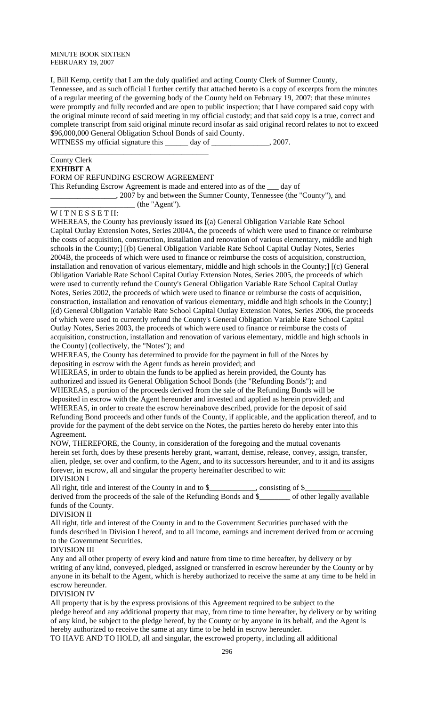I, Bill Kemp, certify that I am the duly qualified and acting County Clerk of Sumner County, Tennessee, and as such official I further certify that attached hereto is a copy of excerpts from the minutes of a regular meeting of the governing body of the County held on February 19, 2007; that these minutes were promptly and fully recorded and are open to public inspection; that I have compared said copy with the original minute record of said meeting in my official custody; and that said copy is a true, correct and complete transcript from said original minute record insofar as said original record relates to not to exceed \$96,000,000 General Obligation School Bonds of said County.

WITNESS my official signature this \_\_\_\_\_\_ day of \_\_\_\_\_\_\_\_\_\_\_\_\_\_, 2007. \_\_\_\_\_\_\_\_\_\_\_\_\_\_\_\_\_\_\_\_\_\_\_\_\_\_\_\_\_\_\_\_\_\_\_\_\_\_\_\_\_

### County Clerk **EXHIBIT A** FORM OF REFUNDING ESCROW AGREEMENT

This Refunding Escrow Agreement is made and entered into as of the \_\_\_ day of

\_\_\_\_\_\_\_\_\_\_\_\_\_\_\_\_\_, 2007 by and between the Sumner County, Tennessee (the "County"), and

#### $_$  (the "Agent").

### WITNESSETH:

WHEREAS, the County has previously issued its  $[(a)$  General Obligation Variable Rate School Capital Outlay Extension Notes, Series 2004A, the proceeds of which were used to finance or reimburse the costs of acquisition, construction, installation and renovation of various elementary, middle and high schools in the County;] [(b) General Obligation Variable Rate School Capital Outlay Notes, Series 2004B, the proceeds of which were used to finance or reimburse the costs of acquisition, construction, installation and renovation of various elementary, middle and high schools in the County;] [(c) General Obligation Variable Rate School Capital Outlay Extension Notes, Series 2005, the proceeds of which were used to currently refund the County's General Obligation Variable Rate School Capital Outlay Notes, Series 2002, the proceeds of which were used to finance or reimburse the costs of acquisition, construction, installation and renovation of various elementary, middle and high schools in the County;] [(d) General Obligation Variable Rate School Capital Outlay Extension Notes, Series 2006, the proceeds of which were used to currently refund the County's General Obligation Variable Rate School Capital Outlay Notes, Series 2003, the proceeds of which were used to finance or reimburse the costs of acquisition, construction, installation and renovation of various elementary, middle and high schools in the County] (collectively, the "Notes"); and

WHEREAS, the County has determined to provide for the payment in full of the Notes by depositing in escrow with the Agent funds as herein provided; and

WHEREAS, in order to obtain the funds to be applied as herein provided, the County has authorized and issued its General Obligation School Bonds (the "Refunding Bonds"); and WHEREAS, a portion of the proceeds derived from the sale of the Refunding Bonds will be deposited in escrow with the Agent hereunder and invested and applied as herein provided; and WHEREAS, in order to create the escrow hereinabove described, provide for the deposit of said Refunding Bond proceeds and other funds of the County, if applicable, and the application thereof, and to provide for the payment of the debt service on the Notes, the parties hereto do hereby enter into this Agreement.

NOW, THEREFORE, the County, in consideration of the foregoing and the mutual covenants herein set forth, does by these presents hereby grant, warrant, demise, release, convey, assign, transfer, alien, pledge, set over and confirm, to the Agent, and to its successors hereunder, and to it and its assigns forever, in escrow, all and singular the property hereinafter described to wit: DIVISION I

All right, title and interest of the County in and to  $\frac{1}{2}$ , consisting of  $\frac{1}{2}$ derived from the proceeds of the sale of the Refunding Bonds and \$\_\_\_\_\_\_\_\_ of other legally available funds of the County.

#### DIVISION II

All right, title and interest of the County in and to the Government Securities purchased with the funds described in Division I hereof, and to all income, earnings and increment derived from or accruing to the Government Securities.

#### DIVISION III

Any and all other property of every kind and nature from time to time hereafter, by delivery or by writing of any kind, conveyed, pledged, assigned or transferred in escrow hereunder by the County or by anyone in its behalf to the Agent, which is hereby authorized to receive the same at any time to be held in escrow hereunder.

## DIVISION IV

All property that is by the express provisions of this Agreement required to be subject to the pledge hereof and any additional property that may, from time to time hereafter, by delivery or by writing of any kind, be subject to the pledge hereof, by the County or by anyone in its behalf, and the Agent is hereby authorized to receive the same at any time to be held in escrow hereunder.

TO HAVE AND TO HOLD, all and singular, the escrowed property, including all additional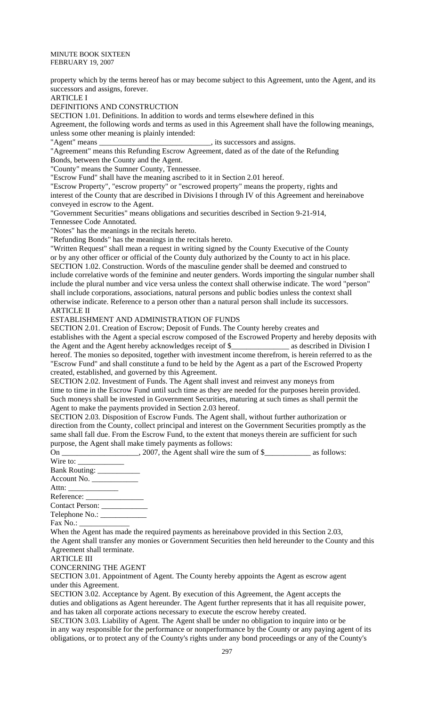property which by the terms hereof has or may become subject to this Agreement, unto the Agent, and its successors and assigns, forever.

ARTICLE I

DEFINITIONS AND CONSTRUCTION

SECTION 1.01. Definitions. In addition to words and terms elsewhere defined in this Agreement, the following words and terms as used in this Agreement shall have the following meanings, unless some other meaning is plainly intended:

"Agent" means \_\_\_\_\_\_\_\_\_\_\_\_\_\_\_\_\_\_\_\_\_\_\_\_\_\_\_\_\_\_\_, its successors and assigns.

"Agreement" means this Refunding Escrow Agreement, dated as of the date of the Refunding Bonds, between the County and the Agent.

"County" means the Sumner County, Tennessee.

"Escrow Fund" shall have the meaning ascribed to it in Section 2.01 hereof.

"Escrow Property", "escrow property" or "escrowed property" means the property, rights and interest of the County that are described in Divisions I through IV of this Agreement and hereinabove conveyed in escrow to the Agent.

"Government Securities" means obligations and securities described in Section 9-21-914,

Tennessee Code Annotated.

"Notes" has the meanings in the recitals hereto.

"Refunding Bonds" has the meanings in the recitals hereto.

"Written Request" shall mean a request in writing signed by the County Executive of the County or by any other officer or official of the County duly authorized by the County to act in his place. SECTION 1.02. Construction. Words of the masculine gender shall be deemed and construed to include correlative words of the feminine and neuter genders. Words importing the singular number shall include the plural number and vice versa unless the context shall otherwise indicate. The word "person" shall include corporations, associations, natural persons and public bodies unless the context shall otherwise indicate. Reference to a person other than a natural person shall include its successors. ARTICLE II

ESTABLISHMENT AND ADMINISTRATION OF FUNDS

SECTION 2.01. Creation of Escrow; Deposit of Funds. The County hereby creates and establishes with the Agent a special escrow composed of the Escrowed Property and hereby deposits with the Agent and the Agent hereby acknowledges receipt of \$\_\_\_\_\_\_\_\_\_\_\_\_\_\_\_ as described in Division I hereof. The monies so deposited, together with investment income therefrom, is herein referred to as the "Escrow Fund" and shall constitute a fund to be held by the Agent as a part of the Escrowed Property created, established, and governed by this Agreement.

SECTION 2.02. Investment of Funds. The Agent shall invest and reinvest any moneys from time to time in the Escrow Fund until such time as they are needed for the purposes herein provided. Such moneys shall be invested in Government Securities, maturing at such times as shall permit the Agent to make the payments provided in Section 2.03 hereof.

SECTION 2.03. Disposition of Escrow Funds. The Agent shall, without further authorization or direction from the County, collect principal and interest on the Government Securities promptly as the same shall fall due. From the Escrow Fund, to the extent that moneys therein are sufficient for such purpose, the Agent shall make timely payments as follows:

On \_\_\_\_\_\_\_\_\_\_\_\_\_\_\_\_\_\_, 2007, the Agent shall wire the sum of \$\_\_\_\_\_\_\_\_\_\_\_\_\_\_\_\_\_ as follows: Wire to:  $\frac{1}{\sqrt{1-\frac{1}{2}}}\$ 

Bank Routing: \_\_\_\_\_\_\_\_\_\_\_

Account No.

Attn:

Reference: \_\_\_\_\_\_\_\_\_\_\_\_\_\_\_

Contact Person: \_\_\_\_\_\_\_\_\_\_\_\_

Telephone No.: \_\_\_\_\_\_\_\_\_\_\_\_

Fax No.: \_

When the Agent has made the required payments as hereinabove provided in this Section 2.03, the Agent shall transfer any monies or Government Securities then held hereunder to the County and this Agreement shall terminate.

ARTICLE III

CONCERNING THE AGENT

SECTION 3.01. Appointment of Agent. The County hereby appoints the Agent as escrow agent under this Agreement.

SECTION 3.02. Acceptance by Agent. By execution of this Agreement, the Agent accepts the duties and obligations as Agent hereunder. The Agent further represents that it has all requisite power, and has taken all corporate actions necessary to execute the escrow hereby created.

SECTION 3.03. Liability of Agent. The Agent shall be under no obligation to inquire into or be in any way responsible for the performance or nonperformance by the County or any paying agent of its obligations, or to protect any of the County's rights under any bond proceedings or any of the County's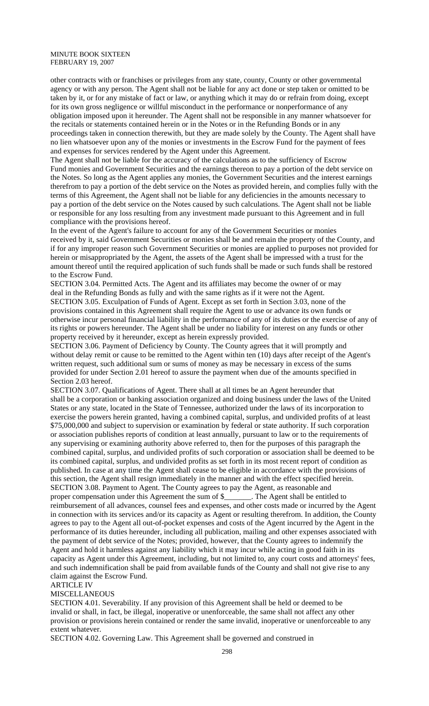other contracts with or franchises or privileges from any state, county, County or other governmental agency or with any person. The Agent shall not be liable for any act done or step taken or omitted to be taken by it, or for any mistake of fact or law, or anything which it may do or refrain from doing, except for its own gross negligence or willful misconduct in the performance or nonperformance of any obligation imposed upon it hereunder. The Agent shall not be responsible in any manner whatsoever for the recitals or statements contained herein or in the Notes or in the Refunding Bonds or in any proceedings taken in connection therewith, but they are made solely by the County. The Agent shall have no lien whatsoever upon any of the monies or investments in the Escrow Fund for the payment of fees and expenses for services rendered by the Agent under this Agreement.

The Agent shall not be liable for the accuracy of the calculations as to the sufficiency of Escrow Fund monies and Government Securities and the earnings thereon to pay a portion of the debt service on the Notes. So long as the Agent applies any monies, the Government Securities and the interest earnings therefrom to pay a portion of the debt service on the Notes as provided herein, and complies fully with the terms of this Agreement, the Agent shall not be liable for any deficiencies in the amounts necessary to pay a portion of the debt service on the Notes caused by such calculations. The Agent shall not be liable or responsible for any loss resulting from any investment made pursuant to this Agreement and in full compliance with the provisions hereof.

In the event of the Agent's failure to account for any of the Government Securities or monies received by it, said Government Securities or monies shall be and remain the property of the County, and if for any improper reason such Government Securities or monies are applied to purposes not provided for herein or misappropriated by the Agent, the assets of the Agent shall be impressed with a trust for the amount thereof until the required application of such funds shall be made or such funds shall be restored to the Escrow Fund.

SECTION 3.04. Permitted Acts. The Agent and its affiliates may become the owner of or may deal in the Refunding Bonds as fully and with the same rights as if it were not the Agent. SECTION 3.05. Exculpation of Funds of Agent. Except as set forth in Section 3.03, none of the provisions contained in this Agreement shall require the Agent to use or advance its own funds or otherwise incur personal financial liability in the performance of any of its duties or the exercise of any of its rights or powers hereunder. The Agent shall be under no liability for interest on any funds or other property received by it hereunder, except as herein expressly provided.

SECTION 3.06. Payment of Deficiency by County. The County agrees that it will promptly and without delay remit or cause to be remitted to the Agent within ten (10) days after receipt of the Agent's written request, such additional sum or sums of money as may be necessary in excess of the sums provided for under Section 2.01 hereof to assure the payment when due of the amounts specified in Section 2.03 hereof.

SECTION 3.07. Qualifications of Agent. There shall at all times be an Agent hereunder that shall be a corporation or banking association organized and doing business under the laws of the United States or any state, located in the State of Tennessee, authorized under the laws of its incorporation to exercise the powers herein granted, having a combined capital, surplus, and undivided profits of at least \$75,000,000 and subject to supervision or examination by federal or state authority. If such corporation or association publishes reports of condition at least annually, pursuant to law or to the requirements of any supervising or examining authority above referred to, then for the purposes of this paragraph the combined capital, surplus, and undivided profits of such corporation or association shall be deemed to be its combined capital, surplus, and undivided profits as set forth in its most recent report of condition as published. In case at any time the Agent shall cease to be eligible in accordance with the provisions of this section, the Agent shall resign immediately in the manner and with the effect specified herein. SECTION 3.08. Payment to Agent. The County agrees to pay the Agent, as reasonable and proper compensation under this Agreement the sum of \$\_\_\_\_\_\_\_. The Agent shall be entitled to reimbursement of all advances, counsel fees and expenses, and other costs made or incurred by the Agent in connection with its services and/or its capacity as Agent or resulting therefrom. In addition, the County agrees to pay to the Agent all out-of-pocket expenses and costs of the Agent incurred by the Agent in the performance of its duties hereunder, including all publication, mailing and other expenses associated with the payment of debt service of the Notes; provided, however, that the County agrees to indemnify the Agent and hold it harmless against any liability which it may incur while acting in good faith in its capacity as Agent under this Agreement, including, but not limited to, any court costs and attorneys' fees, and such indemnification shall be paid from available funds of the County and shall not give rise to any claim against the Escrow Fund.

ARTICLE IV

MISCELLANEOUS

SECTION 4.01. Severability. If any provision of this Agreement shall be held or deemed to be invalid or shall, in fact, be illegal, inoperative or unenforceable, the same shall not affect any other provision or provisions herein contained or render the same invalid, inoperative or unenforceable to any extent whatever.

SECTION 4.02. Governing Law. This Agreement shall be governed and construed in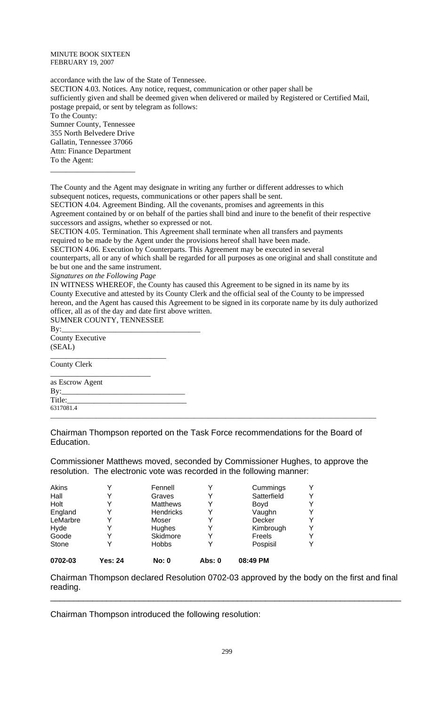accordance with the law of the State of Tennessee. SECTION 4.03. Notices. Any notice, request, communication or other paper shall be sufficiently given and shall be deemed given when delivered or mailed by Registered or Certified Mail, postage prepaid, or sent by telegram as follows: To the County: Sumner County, Tennessee 355 North Belvedere Drive Gallatin, Tennessee 37066 Attn: Finance Department To the Agent: \_\_\_\_\_\_\_\_\_\_\_\_\_\_\_\_\_\_\_\_\_\_

The County and the Agent may designate in writing any further or different addresses to which subsequent notices, requests, communications or other papers shall be sent.

SECTION 4.04. Agreement Binding. All the covenants, promises and agreements in this Agreement contained by or on behalf of the parties shall bind and inure to the benefit of their respective successors and assigns, whether so expressed or not.

SECTION 4.05. Termination. This Agreement shall terminate when all transfers and payments

required to be made by the Agent under the provisions hereof shall have been made.

SECTION 4.06. Execution by Counterparts. This Agreement may be executed in several counterparts, all or any of which shall be regarded for all purposes as one original and shall constitute and be but one and the same instrument.

*Signatures on the Following Page*

IN WITNESS WHEREOF, the County has caused this Agreement to be signed in its name by its County Executive and attested by its County Clerk and the official seal of the County to be impressed hereon, and the Agent has caused this Agreement to be signed in its corporate name by its duly authorized officer, all as of the day and date first above written.

SUMNER COUNTY, TENNESSEE By:\_\_\_\_\_\_\_\_\_\_\_\_\_\_\_\_\_\_\_\_\_\_\_\_\_\_\_\_\_\_\_\_\_\_\_\_ County Executive (SEAL) \_\_\_\_\_\_\_\_\_\_\_\_\_\_\_\_\_\_\_\_\_\_\_\_\_\_\_\_\_\_ County Clerk

\_\_\_\_\_\_\_\_\_\_\_\_\_\_\_\_\_\_\_\_\_\_\_\_\_\_ as Escrow Agent By:\_\_\_\_\_\_\_\_\_\_\_\_\_\_\_\_\_\_\_\_\_\_\_\_\_\_\_\_\_\_\_\_ Title: 6317081.4

Chairman Thompson reported on the Task Force recommendations for the Board of Education.

 $\_$  ,  $\_$  ,  $\_$  ,  $\_$  ,  $\_$  ,  $\_$  ,  $\_$  ,  $\_$  ,  $\_$  ,  $\_$  ,  $\_$  ,  $\_$  ,  $\_$  ,  $\_$  ,  $\_$  ,  $\_$  ,  $\_$  ,  $\_$  ,  $\_$  ,  $\_$  ,  $\_$  ,  $\_$  ,  $\_$  ,  $\_$  ,  $\_$  ,  $\_$  ,  $\_$  ,  $\_$  ,  $\_$  ,  $\_$  ,  $\_$  ,  $\_$  ,  $\_$  ,  $\_$  ,  $\_$  ,  $\_$  ,  $\_$  ,

Commissioner Matthews moved, seconded by Commissioner Hughes, to approve the resolution. The electronic vote was recorded in the following manner:

| 0702-03  | Yes: 24 | <b>No: 0</b>     | Abs: 0 | 08:49 PM    |   |
|----------|---------|------------------|--------|-------------|---|
| Stone    |         | <b>Hobbs</b>     |        | Pospisil    | Y |
| Goode    |         | Skidmore         | Y      | Freels      | Y |
| Hyde     |         | Hughes           |        | Kimbrough   | Υ |
| LeMarbre | ∨       | Moser            |        | Decker      | Υ |
| England  |         | <b>Hendricks</b> | Y      | Vaughn      | Y |
| Holt     |         | <b>Matthews</b>  |        | Boyd        | Y |
| Hall     |         | Graves           |        | Satterfield | Υ |
| Akins    | v       | Fennell          |        | Cummings    | Υ |

Chairman Thompson declared Resolution 0702-03 approved by the body on the first and final reading. \_\_\_\_\_\_\_\_\_\_\_\_\_\_\_\_\_\_\_\_\_\_\_\_\_\_\_\_\_\_\_\_\_\_\_\_\_\_\_\_\_\_\_\_\_\_\_\_\_\_\_\_\_\_\_\_\_\_\_\_\_\_\_\_\_\_\_\_\_\_\_\_\_\_\_

Chairman Thompson introduced the following resolution: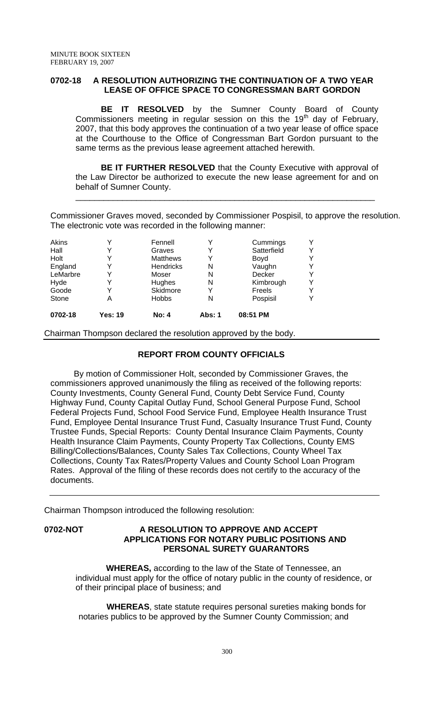### **0702-18 A RESOLUTION AUTHORIZING THE CONTINUATION OF A TWO YEAR LEASE OF OFFICE SPACE TO CONGRESSMAN BART GORDON**

**BE IT RESOLVED** by the Sumner County Board of County Commissioners meeting in regular session on this the  $19<sup>th</sup>$  day of February, 2007, that this body approves the continuation of a two year lease of office space at the Courthouse to the Office of Congressman Bart Gordon pursuant to the same terms as the previous lease agreement attached herewith.

**BE IT FURTHER RESOLVED** that the County Executive with approval of the Law Director be authorized to execute the new lease agreement for and on behalf of Sumner County.

Commissioner Graves moved, seconded by Commissioner Pospisil, to approve the resolution. The electronic vote was recorded in the following manner:

\_\_\_\_\_\_\_\_\_\_\_\_\_\_\_\_\_\_\_\_\_\_\_\_\_\_\_\_\_\_\_\_\_\_\_\_\_\_\_\_\_\_\_\_\_\_\_\_\_\_\_\_\_\_\_\_\_\_\_\_\_\_\_\_

| 0702-18  | <b>Yes: 19</b> | <b>No: 4</b>    | Abs: 1 | 08:51 PM    |   |
|----------|----------------|-----------------|--------|-------------|---|
| Stone    | А              | <b>Hobbs</b>    | N      | Pospisil    | Y |
| Goode    |                | Skidmore        | Y      | Freels      | Y |
| Hyde     |                | Hughes          | N      | Kimbrough   | Υ |
| LeMarbre |                | Moser           | N      | Decker      | Υ |
| England  |                | Hendricks       | N      | Vaughn      | Y |
| Holt     |                | <b>Matthews</b> |        | Boyd        | Y |
| Hall     |                | Graves          |        | Satterfield | Y |
| Akins    |                | Fennell         |        | Cummings    | Y |

Chairman Thompson declared the resolution approved by the body.

# **REPORT FROM COUNTY OFFICIALS**

 By motion of Commissioner Holt, seconded by Commissioner Graves, the commissioners approved unanimously the filing as received of the following reports: County Investments, County General Fund, County Debt Service Fund, County Highway Fund, County Capital Outlay Fund, School General Purpose Fund, School Federal Projects Fund, School Food Service Fund, Employee Health Insurance Trust Fund, Employee Dental Insurance Trust Fund, Casualty Insurance Trust Fund, County Trustee Funds, Special Reports: County Dental Insurance Claim Payments, County Health Insurance Claim Payments, County Property Tax Collections, County EMS Billing/Collections/Balances, County Sales Tax Collections, County Wheel Tax Collections, County Tax Rates/Property Values and County School Loan Program Rates. Approval of the filing of these records does not certify to the accuracy of the documents.

Chairman Thompson introduced the following resolution:

### **0702-NOT A RESOLUTION TO APPROVE AND ACCEPT APPLICATIONS FOR NOTARY PUBLIC POSITIONS AND PERSONAL SURETY GUARANTORS**

 **WHEREAS,** according to the law of the State of Tennessee, an individual must apply for the office of notary public in the county of residence, or of their principal place of business; and

 **WHEREAS**, state statute requires personal sureties making bonds for notaries publics to be approved by the Sumner County Commission; and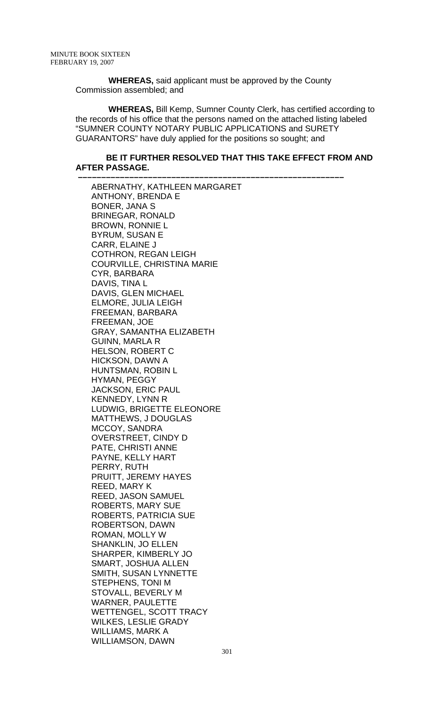**WHEREAS,** said applicant must be approved by the County Commission assembled; and

 **WHEREAS,** Bill Kemp, Sumner County Clerk, has certified according to the records of his office that the persons named on the attached listing labeled "SUMNER COUNTY NOTARY PUBLIC APPLICATIONS and SURETY GUARANTORS" have duly applied for the positions so sought; and

### **BE IT FURTHER RESOLVED THAT THIS TAKE EFFECT FROM AND AFTER PASSAGE.**

 **–––––––––––––––––––––––––––––––––––––––––––––––––––––––––** ABERNATHY, KATHLEEN MARGARET ANTHONY, BRENDA E BONER, JANA S BRINEGAR, RONALD BROWN, RONNIE L BYRUM, SUSAN E CARR, ELAINE J COTHRON, REGAN LEIGH COURVILLE, CHRISTINA MARIE CYR, BARBARA DAVIS, TINA L DAVIS, GLEN MICHAEL ELMORE, JULIA LEIGH FREEMAN, BARBARA FREEMAN, JOE GRAY, SAMANTHA ELIZABETH GUINN, MARLA R HELSON, ROBERT C HICKSON, DAWN A HUNTSMAN, ROBIN L HYMAN, PEGGY JACKSON, ERIC PAUL KENNEDY, LYNN R LUDWIG, BRIGETTE ELEONORE MATTHEWS, J DOUGLAS MCCOY, SANDRA OVERSTREET, CINDY D PATE, CHRISTI ANNE PAYNE, KELLY HART PERRY, RUTH PRUITT, JEREMY HAYES REED, MARY K REED, JASON SAMUEL ROBERTS, MARY SUE ROBERTS, PATRICIA SUE ROBERTSON, DAWN ROMAN, MOLLY W SHANKLIN, JO ELLEN SHARPER, KIMBERLY JO SMART, JOSHUA ALLEN SMITH, SUSAN LYNNETTE STEPHENS, TONI M STOVALL, BEVERLY M WARNER, PAULETTE WETTENGEL, SCOTT TRACY WILKES, LESLIE GRADY WILLIAMS, MARK A WILLIAMSON, DAWN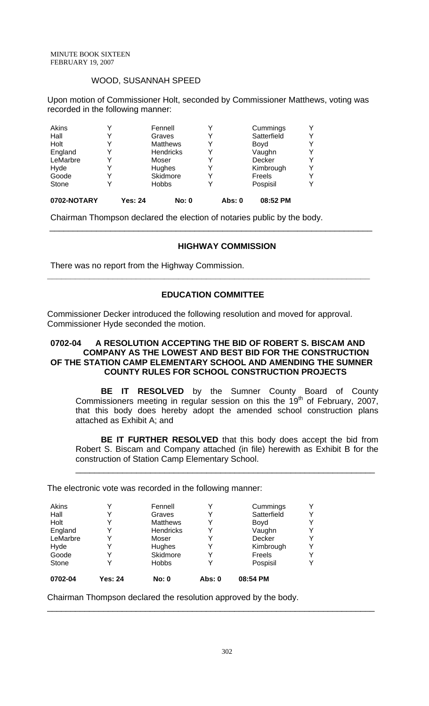### WOOD, SUSANNAH SPEED

Upon motion of Commissioner Holt, seconded by Commissioner Matthews, voting was recorded in the following manner:

| Akins       |                | Fennell         |   |        | Cummings    | Y |
|-------------|----------------|-----------------|---|--------|-------------|---|
| Hall        |                | Graves          |   |        | Satterfield | Υ |
| Holt        |                | <b>Matthews</b> |   |        | Boyd        | Y |
| England     |                | Hendricks       |   |        | Vaughn      | Y |
| LeMarbre    |                | Moser           |   |        | Decker      | Υ |
| Hyde        |                | Hughes          | Y |        | Kimbrough   | Υ |
| Goode       |                | Skidmore        |   |        | Freels      | Y |
| Stone       |                | <b>Hobbs</b>    |   |        | Pospisil    | Y |
| 0702-NOTARY | <b>Yes: 24</b> | <b>No: 0</b>    |   | Abs: 0 | 08:52 PM    |   |

Chairman Thompson declared the election of notaries public by the body.

### **HIGHWAY COMMISSION**

There was no report from the Highway Commission.

## **EDUCATION COMMITTEE**

**\_\_\_\_\_\_\_\_\_\_\_\_\_\_\_\_\_\_\_\_\_\_\_\_\_\_\_\_\_\_\_\_\_\_\_\_\_\_\_\_\_\_\_\_\_\_\_\_\_\_\_\_\_\_\_\_\_\_\_\_\_\_\_\_\_\_\_\_\_**

\_\_\_\_\_\_\_\_\_\_\_\_\_\_\_\_\_\_\_\_\_\_\_\_\_\_\_\_\_\_\_\_\_\_\_\_\_\_\_\_\_\_\_\_\_\_\_\_\_\_\_\_\_\_\_\_\_\_\_\_\_\_\_\_\_\_\_\_\_

Commissioner Decker introduced the following resolution and moved for approval. Commissioner Hyde seconded the motion.

### **0702-04 A RESOLUTION ACCEPTING THE BID OF ROBERT S. BISCAM AND COMPANY AS THE LOWEST AND BEST BID FOR THE CONSTRUCTION OF THE STATION CAMP ELEMENTARY SCHOOL AND AMENDING THE SUMNER COUNTY RULES FOR SCHOOL CONSTRUCTION PROJECTS**

**BE IT RESOLVED** by the Sumner County Board of County Commissioners meeting in regular session on this the  $19<sup>th</sup>$  of February, 2007, that this body does hereby adopt the amended school construction plans attached as Exhibit A; and

**BE IT FURTHER RESOLVED** that this body does accept the bid from Robert S. Biscam and Company attached (in file) herewith as Exhibit B for the construction of Station Camp Elementary School.

\_\_\_\_\_\_\_\_\_\_\_\_\_\_\_\_\_\_\_\_\_\_\_\_\_\_\_\_\_\_\_\_\_\_\_\_\_\_\_\_\_\_\_\_\_\_\_\_\_\_\_\_\_\_\_\_\_\_\_\_\_\_\_\_

The electronic vote was recorded in the following manner:

| Hall<br>Holt |                | Graves<br><b>Matthews</b> |        | Satterfield    | Υ<br>Y |
|--------------|----------------|---------------------------|--------|----------------|--------|
| England      |                | Hendricks                 |        | Boyd<br>Vaughn | Y      |
| LeMarbre     |                | Moser                     |        | Decker         | Y      |
| Hyde         |                | Hughes                    |        | Kimbrough      | Υ      |
| Goode        |                | Skidmore                  |        | Freels         | Y      |
| Stone        |                | <b>Hobbs</b>              |        | Pospisil       | Y      |
| 0702-04      | <b>Yes: 24</b> | <b>No: 0</b>              | Abs: 0 | 08:54 PM       |        |

Chairman Thompson declared the resolution approved by the body.

\_\_\_\_\_\_\_\_\_\_\_\_\_\_\_\_\_\_\_\_\_\_\_\_\_\_\_\_\_\_\_\_\_\_\_\_\_\_\_\_\_\_\_\_\_\_\_\_\_\_\_\_\_\_\_\_\_\_\_\_\_\_\_\_\_\_\_\_\_\_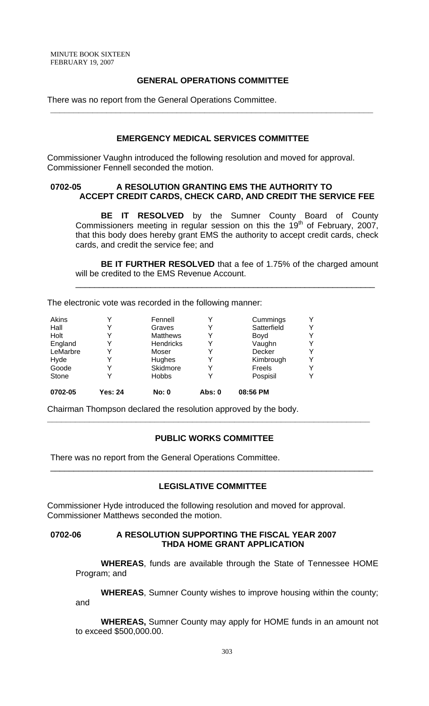### **GENERAL OPERATIONS COMMITTEE**

**\_\_\_\_\_\_\_\_\_\_\_\_\_\_\_\_\_\_\_\_\_\_\_\_\_\_\_\_\_\_\_\_\_\_\_\_\_\_\_\_\_\_\_\_\_\_\_\_\_\_\_\_\_\_\_\_\_\_\_\_\_\_\_\_\_\_\_\_\_**

There was no report from the General Operations Committee.

## **EMERGENCY MEDICAL SERVICES COMMITTEE**

Commissioner Vaughn introduced the following resolution and moved for approval. Commissioner Fennell seconded the motion.

### **0702-05 A RESOLUTION GRANTING EMS THE AUTHORITY TO ACCEPT CREDIT CARDS, CHECK CARD, AND CREDIT THE SERVICE FEE**

**BE IT RESOLVED** by the Sumner County Board of County Commissioners meeting in regular session on this the 19th of February, 2007, that this body does hereby grant EMS the authority to accept credit cards, check cards, and credit the service fee; and

**BE IT FURTHER RESOLVED** that a fee of 1.75% of the charged amount will be credited to the EMS Revenue Account.

\_\_\_\_\_\_\_\_\_\_\_\_\_\_\_\_\_\_\_\_\_\_\_\_\_\_\_\_\_\_\_\_\_\_\_\_\_\_\_\_\_\_\_\_\_\_\_\_\_\_\_\_\_\_\_\_\_\_\_\_\_\_\_\_

The electronic vote was recorded in the following manner:

| Akins<br>Hall |         | Fennell<br>Graves |          | Cummings<br>Satterfield | Y<br>Y |
|---------------|---------|-------------------|----------|-------------------------|--------|
| Holt          |         | <b>Matthews</b>   |          | Boyd                    | Y      |
| England       |         | <b>Hendricks</b>  |          | Vaughn                  | Y      |
| LeMarbre      |         | Moser             |          | Decker                  | Y      |
| Hyde          |         | Hughes            |          | Kimbrough               | Υ      |
| Goode         |         | Skidmore          |          | Freels                  | Y      |
| Stone         |         | <b>Hobbs</b>      |          | Pospisil                | Y      |
| 0702-05       | Yes: 24 | <b>No: 0</b>      | Abs: $0$ | 08:56 PM                |        |

Chairman Thompson declared the resolution approved by the body.

## **PUBLIC WORKS COMMITTEE**

**\_\_\_\_\_\_\_\_\_\_\_\_\_\_\_\_\_\_\_\_\_\_\_\_\_\_\_\_\_\_\_\_\_\_\_\_\_\_\_\_\_\_\_\_\_\_\_\_\_\_\_\_\_\_\_\_\_\_\_\_\_\_\_\_\_\_\_\_\_**

There was no report from the General Operations Committee.

### **LEGISLATIVE COMMITTEE**

\_\_\_\_\_\_\_\_\_\_\_\_\_\_\_\_\_\_\_\_\_\_\_\_\_\_\_\_\_\_\_\_\_\_\_\_\_\_\_\_\_\_\_\_\_\_\_\_\_\_\_\_\_\_\_\_\_\_\_\_\_\_\_\_\_\_\_\_\_

Commissioner Hyde introduced the following resolution and moved for approval. Commissioner Matthews seconded the motion.

### **0702-06 A RESOLUTION SUPPORTING THE FISCAL YEAR 2007 THDA HOME GRANT APPLICATION**

**WHEREAS**, funds are available through the State of Tennessee HOME Program; and

**WHEREAS**, Sumner County wishes to improve housing within the county; and

**WHEREAS,** Sumner County may apply for HOME funds in an amount not to exceed \$500,000.00.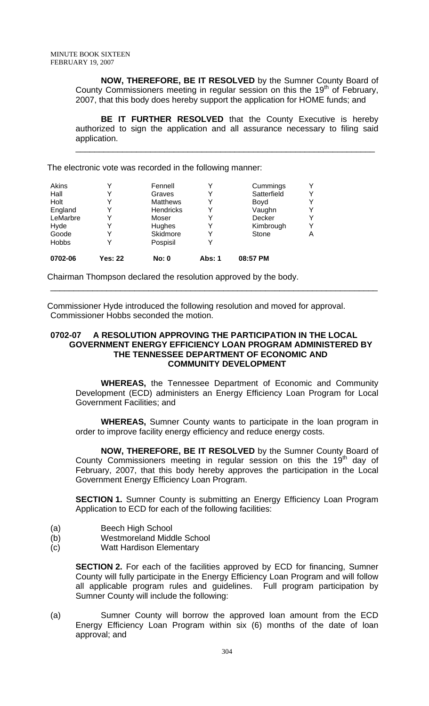**NOW, THEREFORE, BE IT RESOLVED** by the Sumner County Board of County Commissioners meeting in regular session on this the 19<sup>th</sup> of February, 2007, that this body does hereby support the application for HOME funds; and

**BE IT FURTHER RESOLVED** that the County Executive is hereby authorized to sign the application and all assurance necessary to filing said application.

\_\_\_\_\_\_\_\_\_\_\_\_\_\_\_\_\_\_\_\_\_\_\_\_\_\_\_\_\_\_\_\_\_\_\_\_\_\_\_\_\_\_\_\_\_\_\_\_\_\_\_\_\_\_\_\_\_\_\_\_\_\_\_\_

The electronic vote was recorded in the following manner:

| Akins<br>Hall |         | Fennell<br>Graves |        | Cummings<br>Satterfield | Y<br>Y |
|---------------|---------|-------------------|--------|-------------------------|--------|
| Holt          |         | <b>Matthews</b>   |        | Boyd                    | Y      |
| England       |         | <b>Hendricks</b>  |        | Vaughn                  | Y      |
| LeMarbre      |         | Moser             |        | Decker                  | Y      |
| Hyde          |         | <b>Hughes</b>     |        | Kimbrough               | Y      |
| Goode         |         | Skidmore          |        | Stone                   | Α      |
| <b>Hobbs</b>  |         | Pospisil          |        |                         |        |
| 0702-06       | Yes: 22 | <b>No: 0</b>      | Abs: 1 | 08:57 PM                |        |

Chairman Thompson declared the resolution approved by the body.

Commissioner Hyde introduced the following resolution and moved for approval. Commissioner Hobbs seconded the motion.

### **0702-07 A RESOLUTION APPROVING THE PARTICIPATION IN THE LOCAL GOVERNMENT ENERGY EFFICIENCY LOAN PROGRAM ADMINISTERED BY THE TENNESSEE DEPARTMENT OF ECONOMIC AND COMMUNITY DEVELOPMENT**

\_\_\_\_\_\_\_\_\_\_\_\_\_\_\_\_\_\_\_\_\_\_\_\_\_\_\_\_\_\_\_\_\_\_\_\_\_\_\_\_\_\_\_\_\_\_\_\_\_\_\_\_\_\_\_\_\_\_\_\_\_\_\_\_\_\_\_\_\_\_

**WHEREAS,** the Tennessee Department of Economic and Community Development (ECD) administers an Energy Efficiency Loan Program for Local Government Facilities; and

**WHEREAS,** Sumner County wants to participate in the loan program in order to improve facility energy efficiency and reduce energy costs.

**NOW, THEREFORE, BE IT RESOLVED** by the Sumner County Board of County Commissioners meeting in regular session on this the  $19<sup>th</sup>$  day of February, 2007, that this body hereby approves the participation in the Local Government Energy Efficiency Loan Program.

**SECTION 1.** Sumner County is submitting an Energy Efficiency Loan Program Application to ECD for each of the following facilities:

- (a) Beech High School
- (b) Westmoreland Middle School
- (c) Watt Hardison Elementary

**SECTION 2.** For each of the facilities approved by ECD for financing, Sumner County will fully participate in the Energy Efficiency Loan Program and will follow all applicable program rules and guidelines. Full program participation by Sumner County will include the following:

(a) Sumner County will borrow the approved loan amount from the ECD Energy Efficiency Loan Program within six (6) months of the date of loan approval; and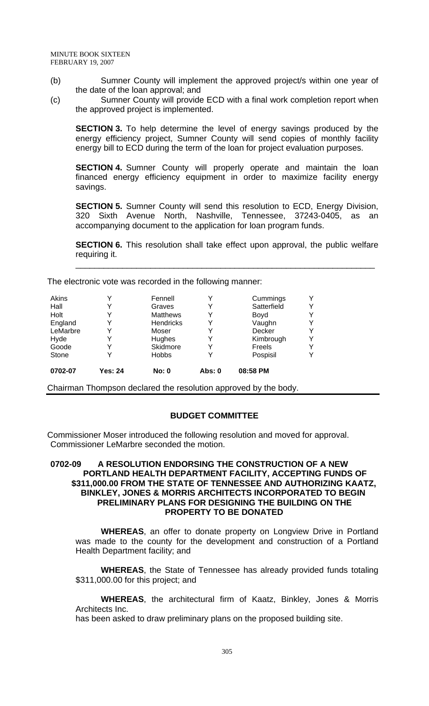- (b) Sumner County will implement the approved project/s within one year of the date of the loan approval; and
- (c) Sumner County will provide ECD with a final work completion report when the approved project is implemented.

**SECTION 3.** To help determine the level of energy savings produced by the energy efficiency project, Sumner County will send copies of monthly facility energy bill to ECD during the term of the loan for project evaluation purposes.

**SECTION 4.** Sumner County will properly operate and maintain the loan financed energy efficiency equipment in order to maximize facility energy savings.

**SECTION 5.** Sumner County will send this resolution to ECD, Energy Division, 320 Sixth Avenue North, Nashville, Tennessee, 37243-0405, as an accompanying document to the application for loan program funds.

**SECTION 6.** This resolution shall take effect upon approval, the public welfare requiring it.

\_\_\_\_\_\_\_\_\_\_\_\_\_\_\_\_\_\_\_\_\_\_\_\_\_\_\_\_\_\_\_\_\_\_\_\_\_\_\_\_\_\_\_\_\_\_\_\_\_\_\_\_\_\_\_\_\_\_\_\_\_\_\_\_

|               | ັ |                   |  |                         |  |  |
|---------------|---|-------------------|--|-------------------------|--|--|
| Akins<br>Hall |   | Fennell<br>Graves |  | Cummings<br>Satterfield |  |  |
|               |   |                   |  |                         |  |  |

The electronic vote was recorded in the following manner:

| 0702-07  | Yes: 24 | <b>No: 0</b>     | Abs: 0 | 08:58 PM    |   |
|----------|---------|------------------|--------|-------------|---|
|          |         |                  |        |             |   |
| Stone    |         | <b>Hobbs</b>     |        | Pospisil    | Y |
| Goode    |         | Skidmore         |        | Freels      | Y |
| Hyde     |         | Hughes           |        | Kimbrough   | Y |
| LeMarbre |         | Moser            |        | Decker      | Υ |
| England  |         | <b>Hendricks</b> |        | Vaughn      | Y |
| Holt     |         | <b>Matthews</b>  |        | Boyd        | Y |
| Hall     |         | Graves           |        | Satterfield | Υ |
| .        |         | -----            |        | ----------  |   |

Chairman Thompson declared the resolution approved by the body.

## **BUDGET COMMITTEE**

Commissioner Moser introduced the following resolution and moved for approval. Commissioner LeMarbre seconded the motion.

### **0702-09 A RESOLUTION ENDORSING THE CONSTRUCTION OF A NEW PORTLAND HEALTH DEPARTMENT FACILITY, ACCEPTING FUNDS OF \$311,000.00 FROM THE STATE OF TENNESSEE AND AUTHORIZING KAATZ, BINKLEY, JONES & MORRIS ARCHITECTS INCORPORATED TO BEGIN PRELIMINARY PLANS FOR DESIGNING THE BUILDING ON THE PROPERTY TO BE DONATED**

**WHEREAS**, an offer to donate property on Longview Drive in Portland was made to the county for the development and construction of a Portland Health Department facility; and

**WHEREAS**, the State of Tennessee has already provided funds totaling \$311,000.00 for this project; and

**WHEREAS**, the architectural firm of Kaatz, Binkley, Jones & Morris Architects Inc.

has been asked to draw preliminary plans on the proposed building site.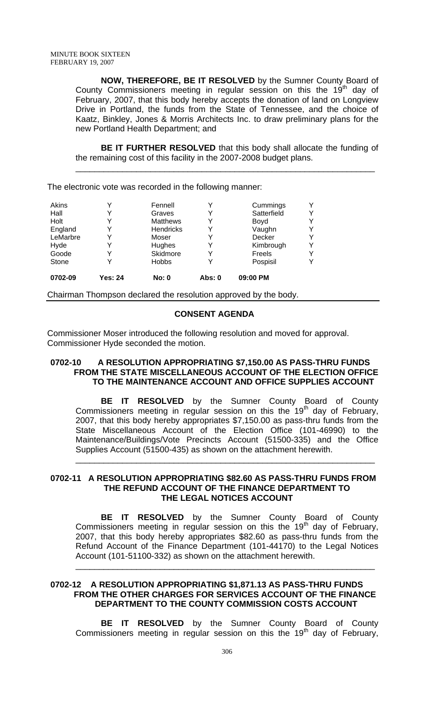**NOW, THEREFORE, BE IT RESOLVED** by the Sumner County Board of County Commissioners meeting in regular session on this the  $19<sup>th</sup>$  day of February, 2007, that this body hereby accepts the donation of land on Longview Drive in Portland, the funds from the State of Tennessee, and the choice of Kaatz, Binkley, Jones & Morris Architects Inc. to draw preliminary plans for the new Portland Health Department; and

**BE IT FURTHER RESOLVED** that this body shall allocate the funding of the remaining cost of this facility in the 2007-2008 budget plans.

\_\_\_\_\_\_\_\_\_\_\_\_\_\_\_\_\_\_\_\_\_\_\_\_\_\_\_\_\_\_\_\_\_\_\_\_\_\_\_\_\_\_\_\_\_\_\_\_\_\_\_\_\_\_\_\_\_\_\_\_\_\_\_\_

The electronic vote was recorded in the following manner:

| Akins    | $\checkmark$ | Fennell          |        | Cummings    | Y |
|----------|--------------|------------------|--------|-------------|---|
| Hall     |              | Graves           |        | Satterfield | v |
| Holt     |              | <b>Matthews</b>  |        | Boyd        | Y |
| England  |              | <b>Hendricks</b> |        | Vaughn      | Y |
| LeMarbre |              | Moser            |        | Decker      | Y |
| Hyde     |              | Hughes           |        | Kimbrough   | v |
| Goode    |              | Skidmore         |        | Freels      | Y |
| Stone    |              | <b>Hobbs</b>     |        | Pospisil    | Y |
| 0702-09  | Yes: 24      | No: 0            | Abs: 0 | 09:00 PM    |   |

Chairman Thompson declared the resolution approved by the body.

## **CONSENT AGENDA**

Commissioner Moser introduced the following resolution and moved for approval. Commissioner Hyde seconded the motion.

### **0702-10 A RESOLUTION APPROPRIATING \$7,150.00 AS PASS-THRU FUNDS FROM THE STATE MISCELLANEOUS ACCOUNT OF THE ELECTION OFFICE TO THE MAINTENANCE ACCOUNT AND OFFICE SUPPLIES ACCOUNT**

**BE IT RESOLVED** by the Sumner County Board of County Commissioners meeting in regular session on this the 19<sup>th</sup> day of February, 2007, that this body hereby appropriates \$7,150.00 as pass-thru funds from the State Miscellaneous Account of the Election Office (101-46990) to the Maintenance/Buildings/Vote Precincts Account (51500-335) and the Office Supplies Account (51500-435) as shown on the attachment herewith.

\_\_\_\_\_\_\_\_\_\_\_\_\_\_\_\_\_\_\_\_\_\_\_\_\_\_\_\_\_\_\_\_\_\_\_\_\_\_\_\_\_\_\_\_\_\_\_\_\_\_\_\_\_\_\_\_\_\_\_\_\_\_\_\_

### **0702-11 A RESOLUTION APPROPRIATING \$82.60 AS PASS-THRU FUNDS FROM THE REFUND ACCOUNT OF THE FINANCE DEPARTMENT TO THE LEGAL NOTICES ACCOUNT**

**BE IT RESOLVED** by the Sumner County Board of County Commissioners meeting in regular session on this the  $19<sup>th</sup>$  day of February, 2007, that this body hereby appropriates \$82.60 as pass-thru funds from the Refund Account of the Finance Department (101-44170) to the Legal Notices Account (101-51100-332) as shown on the attachment herewith.

\_\_\_\_\_\_\_\_\_\_\_\_\_\_\_\_\_\_\_\_\_\_\_\_\_\_\_\_\_\_\_\_\_\_\_\_\_\_\_\_\_\_\_\_\_\_\_\_\_\_\_\_\_\_\_\_\_\_\_\_\_\_\_\_

### **0702-12 A RESOLUTION APPROPRIATING \$1,871.13 AS PASS-THRU FUNDS FROM THE OTHER CHARGES FOR SERVICES ACCOUNT OF THE FINANCE DEPARTMENT TO THE COUNTY COMMISSION COSTS ACCOUNT**

**BE IT RESOLVED** by the Sumner County Board of County Commissioners meeting in regular session on this the 19<sup>th</sup> day of February,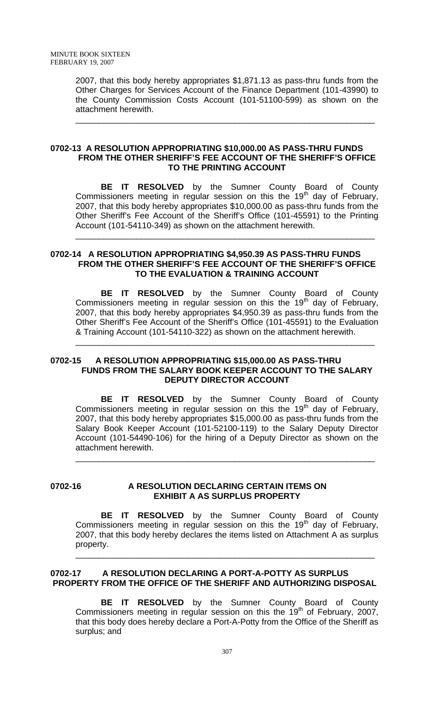2007, that this body hereby appropriates \$1,871.13 as pass-thru funds from the Other Charges for Services Account of the Finance Department (101-43990) to the County Commission Costs Account (101-51100-599) as shown on the attachment herewith.

\_\_\_\_\_\_\_\_\_\_\_\_\_\_\_\_\_\_\_\_\_\_\_\_\_\_\_\_\_\_\_\_\_\_\_\_\_\_\_\_\_\_\_\_\_\_\_\_\_\_\_\_\_\_\_\_\_\_\_\_\_\_\_\_

### **0702-13 A RESOLUTION APPROPRIATING \$10,000.00 AS PASS-THRU FUNDS FROM THE OTHER SHERIFF'S FEE ACCOUNT OF THE SHERIFF'S OFFICE TO THE PRINTING ACCOUNT**

**BE IT RESOLVED** by the Sumner County Board of County Commissioners meeting in regular session on this the  $19<sup>th</sup>$  day of February, 2007, that this body hereby appropriates \$10,000.00 as pass-thru funds from the Other Sheriff's Fee Account of the Sheriff's Office (101-45591) to the Printing Account (101-54110-349) as shown on the attachment herewith.

\_\_\_\_\_\_\_\_\_\_\_\_\_\_\_\_\_\_\_\_\_\_\_\_\_\_\_\_\_\_\_\_\_\_\_\_\_\_\_\_\_\_\_\_\_\_\_\_\_\_\_\_\_\_\_\_\_\_\_\_\_\_\_\_

### **0702-14 A RESOLUTION APPROPRIATING \$4,950.39 AS PASS-THRU FUNDS FROM THE OTHER SHERIFF'S FEE ACCOUNT OF THE SHERIFF'S OFFICE TO THE EVALUATION & TRAINING ACCOUNT**

**BE IT RESOLVED** by the Sumner County Board of County Commissioners meeting in regular session on this the  $19<sup>th</sup>$  day of February, 2007, that this body hereby appropriates \$4,950.39 as pass-thru funds from the Other Sheriff's Fee Account of the Sheriff's Office (101-45591) to the Evaluation & Training Account (101-54110-322) as shown on the attachment herewith.

\_\_\_\_\_\_\_\_\_\_\_\_\_\_\_\_\_\_\_\_\_\_\_\_\_\_\_\_\_\_\_\_\_\_\_\_\_\_\_\_\_\_\_\_\_\_\_\_\_\_\_\_\_\_\_\_\_\_\_\_\_\_\_\_

### **0702-15 A RESOLUTION APPROPRIATING \$15,000.00 AS PASS-THRU FUNDS FROM THE SALARY BOOK KEEPER ACCOUNT TO THE SALARY DEPUTY DIRECTOR ACCOUNT**

**BE IT RESOLVED** by the Sumner County Board of County Commissioners meeting in regular session on this the  $19<sup>th</sup>$  day of February, 2007, that this body hereby appropriates \$15,000.00 as pass-thru funds from the Salary Book Keeper Account (101-52100-119) to the Salary Deputy Director Account (101-54490-106) for the hiring of a Deputy Director as shown on the attachment herewith.

\_\_\_\_\_\_\_\_\_\_\_\_\_\_\_\_\_\_\_\_\_\_\_\_\_\_\_\_\_\_\_\_\_\_\_\_\_\_\_\_\_\_\_\_\_\_\_\_\_\_\_\_\_\_\_\_\_\_\_\_\_\_\_\_

### **0702-16 A RESOLUTION DECLARING CERTAIN ITEMS ON EXHIBIT A AS SURPLUS PROPERTY**

**BE IT RESOLVED** by the Sumner County Board of County Commissioners meeting in regular session on this the  $19<sup>th</sup>$  day of February, 2007, that this body hereby declares the items listed on Attachment A as surplus property.

\_\_\_\_\_\_\_\_\_\_\_\_\_\_\_\_\_\_\_\_\_\_\_\_\_\_\_\_\_\_\_\_\_\_\_\_\_\_\_\_\_\_\_\_\_\_\_\_\_\_\_\_\_\_\_\_\_\_\_\_\_\_\_\_

## **0702-17 A RESOLUTION DECLARING A PORT-A-POTTY AS SURPLUS PROPERTY FROM THE OFFICE OF THE SHERIFF AND AUTHORIZING DISPOSAL**

**BE IT RESOLVED** by the Sumner County Board of County Commissioners meeting in regular session on this the  $19<sup>th</sup>$  of February, 2007, that this body does hereby declare a Port-A-Potty from the Office of the Sheriff as surplus; and